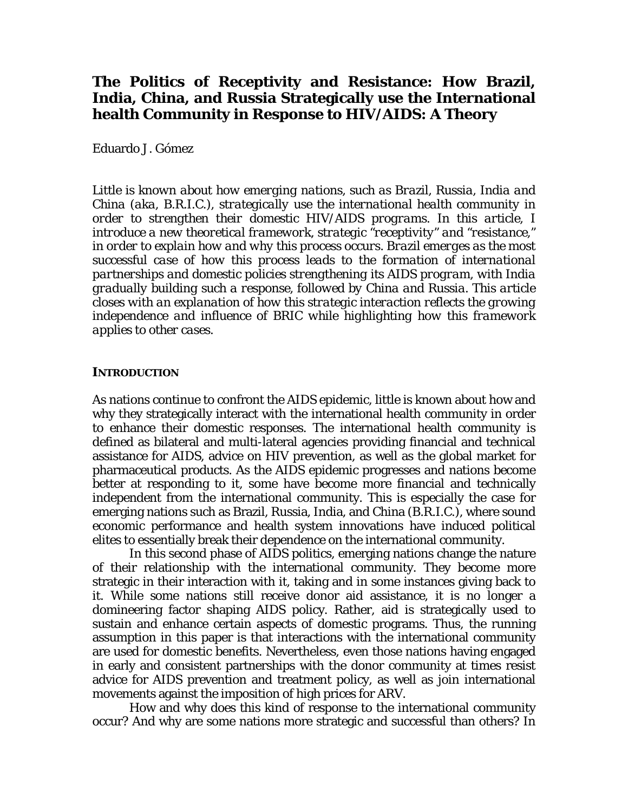# **The Politics of Receptivity and Resistance: How Brazil, India, China, and Russia Strategically use the International health Community in Response to HIV/AIDS: A Theory**

Eduardo J. Gómez

*Little is known about how emerging nations, such as Brazil, Russia, India and China (aka, B.R.I.C.), strategically use the international health community in order to strengthen their domestic HIV/AIDS programs. In this article, I introduce a new theoretical framework, strategic "receptivity" and "resistance," in order to explain how and why this process occurs. Brazil emerges as the most successful case of how this process leads to the formation of international partnerships and domestic policies strengthening its AIDS program, with India gradually building such a response, followed by China and Russia. This article closes with an explanation of how this strategic interaction reflects the growing independence and influence of BRIC while highlighting how this framework applies to other cases.*

## **INTRODUCTION**

As nations continue to confront the AIDS epidemic, little is known about how and why they strategically interact with the international health community in order to enhance their domestic responses. The international health community is defined as bilateral and multi-lateral agencies providing financial and technical assistance for AIDS, advice on HIV prevention, as well as the global market for pharmaceutical products. As the AIDS epidemic progresses and nations become better at responding to it, some have become more financial and technically independent from the international community. This is especially the case for emerging nations such as Brazil, Russia, India, and China (B.R.I.C.), where sound economic performance and health system innovations have induced political elites to essentially break their dependence on the international community.

 In this second phase of AIDS politics, emerging nations change the nature of their relationship with the international community. They become more strategic in their interaction with it, taking and in some instances giving back to it. While some nations still receive donor aid assistance, it is no longer a domineering factor shaping AIDS policy. Rather, aid is strategically used to sustain and enhance certain aspects of domestic programs. Thus, the running assumption in this paper is that interactions with the international community are used for domestic benefits. Nevertheless, even those nations having engaged in early and consistent partnerships with the donor community at times resist advice for AIDS prevention and treatment policy, as well as join international movements against the imposition of high prices for ARV.

How and why does this kind of response to the international community occur? And why are some nations more strategic and successful than others? In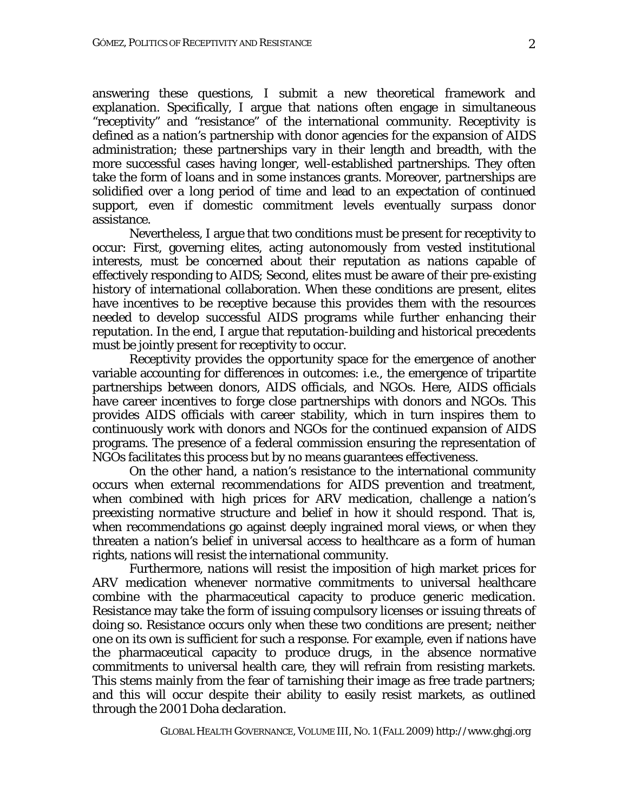answering these questions, I submit a new theoretical framework and explanation. Specifically, I argue that nations often engage in simultaneous "receptivity" and "resistance" of the international community. Receptivity is defined as a nation's partnership with donor agencies for the expansion of AIDS administration; these partnerships vary in their length and breadth, with the more successful cases having longer, well-established partnerships. They often take the form of loans and in some instances grants. Moreover, partnerships are solidified over a long period of time and lead to an expectation of continued support, even if domestic commitment levels eventually surpass donor assistance.

Nevertheless, I argue that two conditions must be present for receptivity to occur: First, governing elites, acting autonomously from vested institutional interests, must be concerned about their reputation as nations capable of effectively responding to AIDS; Second, elites must be aware of their pre-existing history of international collaboration. When these conditions are present, elites have incentives to be receptive because this provides them with the resources needed to develop successful AIDS programs while further enhancing their reputation. In the end, I argue that reputation-building and historical precedents must be jointly present for receptivity to occur.

 Receptivity provides the opportunity space for the emergence of another variable accounting for differences in outcomes: i.e., the emergence of tripartite partnerships between donors, AIDS officials, and NGOs. Here, AIDS officials have career incentives to forge close partnerships with donors and NGOs. This provides AIDS officials with career stability, which in turn inspires them to continuously work with donors and NGOs for the continued expansion of AIDS programs. The presence of a federal commission ensuring the representation of NGOs facilitates this process but by no means guarantees effectiveness.

On the other hand, a nation's resistance to the international community occurs when external recommendations for AIDS prevention and treatment, when combined with high prices for ARV medication, challenge a nation's preexisting normative structure and belief in how it should respond. That is, when recommendations go against deeply ingrained moral views, or when they threaten a nation's belief in universal access to healthcare as a form of human rights, nations will resist the international community.

Furthermore, nations will resist the imposition of high market prices for ARV medication whenever normative commitments to universal healthcare combine with the pharmaceutical capacity to produce generic medication. Resistance may take the form of issuing compulsory licenses or issuing threats of doing so. Resistance occurs only when these two conditions are present; neither one on its own is sufficient for such a response. For example, even if nations have the pharmaceutical capacity to produce drugs, in the absence normative commitments to universal health care, they will refrain from resisting markets. This stems mainly from the fear of tarnishing their image as free trade partners; and this will occur despite their ability to easily resist markets, as outlined through the 2001 Doha declaration.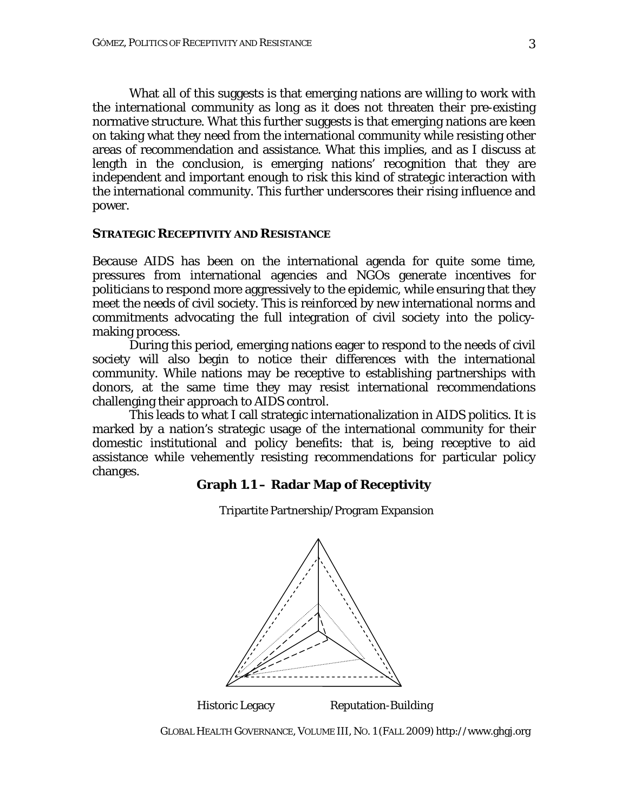What all of this suggests is that emerging nations are willing to work with the international community as long as it does not threaten their pre-existing normative structure. What this further suggests is that emerging nations are keen on taking what they need from the international community while resisting other areas of recommendation and assistance. What this implies, and as I discuss at length in the conclusion, is emerging nations' recognition that they are independent and important enough to risk this kind of strategic interaction with the international community. This further underscores their rising influence and power.

#### **STRATEGIC RECEPTIVITY AND RESISTANCE**

Because AIDS has been on the international agenda for quite some time, pressures from international agencies and NGOs generate incentives for politicians to respond more aggressively to the epidemic, while ensuring that they meet the needs of civil society. This is reinforced by new international norms and commitments advocating the full integration of civil society into the policymaking process.

During this period, emerging nations eager to respond to the needs of civil society will also begin to notice their differences with the international community. While nations may be receptive to establishing partnerships with donors, at the same time they may resist international recommendations challenging their approach to AIDS control.

This leads to what I call strategic internationalization in AIDS politics. It is marked by a nation's strategic usage of the international community for their domestic institutional and policy benefits: that is, being receptive to aid assistance while vehemently resisting recommendations for particular policy changes.

#### **Graph 1.1 – Radar Map of Receptivity**



Tripartite Partnership/Program Expansion

*GLOBAL HEALTH GOVERNANCE*, VOLUME III, NO. 1 (FALL 2009) http://www.ghgj.org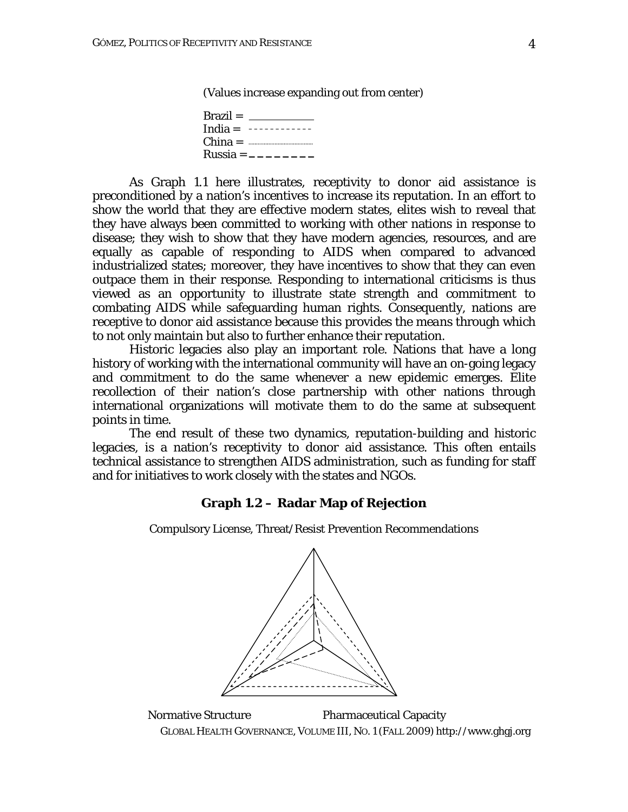(Values increase expanding out from center)

| $\text{Brazil} =$ |
|-------------------|
| India = $------$  |
| $China =$         |
| Russia = $------$ |

As Graph 1.1 here illustrates, receptivity to donor aid assistance is preconditioned by a nation's incentives to increase its reputation. In an effort to show the world that they are effective modern states, elites wish to reveal that they have always been committed to working with other nations in response to disease; they wish to show that they have modern agencies, resources, and are equally as capable of responding to AIDS when compared to advanced industrialized states; moreover, they have incentives to show that they can even outpace them in their response. Responding to international criticisms is thus viewed as an opportunity to illustrate state strength and commitment to combating AIDS while safeguarding human rights. Consequently, nations are receptive to donor aid assistance because this provides the *means* through which to not only maintain but also to further enhance their reputation.

Historic legacies also play an important role. Nations that have a long history of working with the international community will have an on-going legacy and commitment to do the same whenever a new epidemic emerges. Elite recollection of their nation's close partnership with other nations through international organizations will motivate them to do the same at subsequent points in time.

The end result of these two dynamics, reputation-building and historic legacies, is a nation's receptivity to donor aid assistance. This often entails technical assistance to strengthen AIDS administration, such as funding for staff and for initiatives to work closely with the states and NGOs.

#### **Graph 1.2 – Radar Map of Rejection**

Compulsory License, Threat/Resist Prevention Recommendations



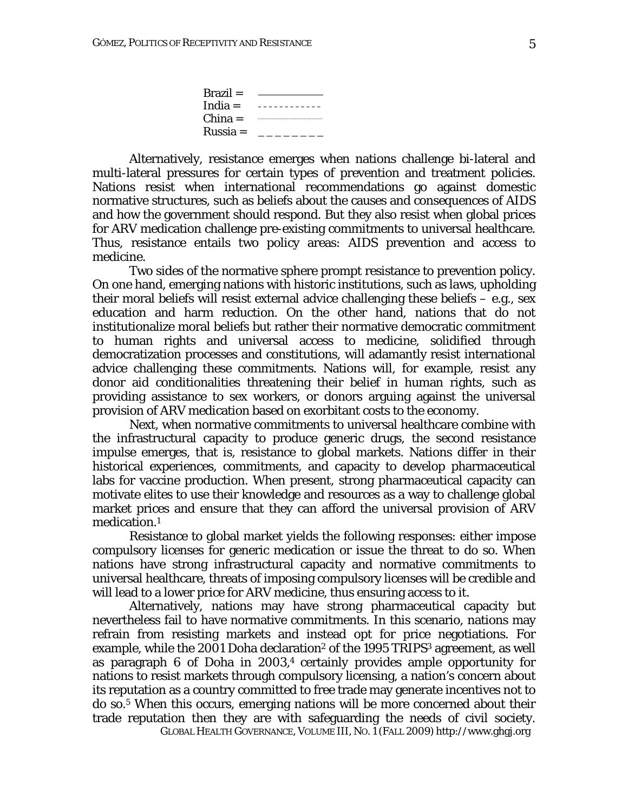| $\text{Brazil} =$ |  |
|-------------------|--|
| India = $---$     |  |
| $China =$         |  |
| $Russia =$        |  |

Alternatively, resistance emerges when nations challenge bi-lateral and multi-lateral pressures for certain types of prevention and treatment policies. Nations resist when international recommendations go against domestic normative structures, such as beliefs about the causes and consequences of AIDS and how the government should respond. But they also resist when global prices for ARV medication challenge pre-existing commitments to universal healthcare. Thus, resistance entails two policy areas: AIDS prevention and access to medicine.

Two sides of the normative sphere prompt resistance to prevention policy. On one hand, emerging nations with historic institutions, such as laws, upholding their moral beliefs will resist external advice challenging these beliefs – e.g., sex education and harm reduction. On the other hand, nations that do not institutionalize moral beliefs but rather their normative democratic commitment to human rights and universal access to medicine, solidified through democratization processes and constitutions, will adamantly resist international advice challenging these commitments. Nations will, for example, resist any donor aid conditionalities threatening their belief in human rights, such as providing assistance to sex workers, or donors arguing against the universal provision of ARV medication based on exorbitant costs to the economy.

Next, when normative commitments to universal healthcare combine with the infrastructural capacity to produce generic drugs, the second resistance impulse emerges, that is, resistance to global markets. Nations differ in their historical experiences, commitments, and capacity to develop pharmaceutical labs for vaccine production. When present, strong pharmaceutical capacity can motivate elites to use their knowledge and resources as a way to challenge global market prices and ensure that they can afford the universal provision of ARV medication.1

Resistance to global market yields the following responses: either impose compulsory licenses for generic medication or issue the threat to do so. When nations have strong infrastructural capacity and normative commitments to universal healthcare, threats of imposing compulsory licenses will be credible and will lead to a lower price for ARV medicine, thus ensuring access to it.

Alternatively, nations may have strong pharmaceutical capacity but nevertheless fail to have normative commitments. In this scenario, nations may refrain from resisting markets and instead opt for price negotiations. For example, while the 2001 Doha declaration<sup>2</sup> of the 1995 TRIPS<sup>3</sup> agreement, as well as paragraph 6 of Doha in 2003,4 certainly provides ample opportunity for nations to resist markets through compulsory licensing, a nation's concern about its reputation as a country committed to free trade may generate incentives not to do so.5 When this occurs, emerging nations will be more concerned about their trade reputation then they are with safeguarding the needs of civil society.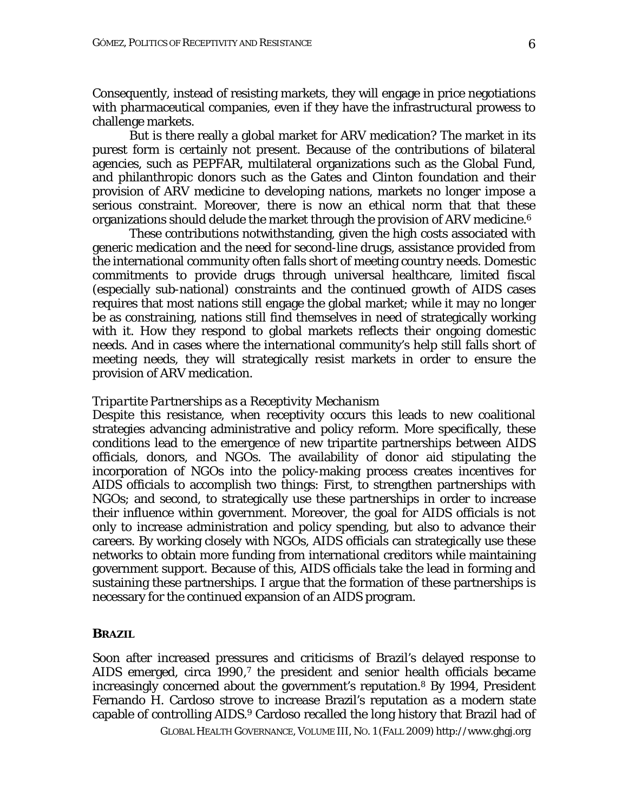Consequently, instead of resisting markets, they will engage in price negotiations with pharmaceutical companies, even if they have the infrastructural prowess to challenge markets.

But is there really a global market for ARV medication? The market in its purest form is certainly not present. Because of the contributions of bilateral agencies, such as PEPFAR, multilateral organizations such as the Global Fund, and philanthropic donors such as the Gates and Clinton foundation and their provision of ARV medicine to developing nations, markets no longer impose a serious constraint. Moreover, there is now an ethical norm that that these organizations should delude the market through the provision of ARV medicine.<sup>6</sup>

These contributions notwithstanding, given the high costs associated with generic medication and the need for second-line drugs, assistance provided from the international community often falls short of meeting country needs. Domestic commitments to provide drugs through universal healthcare, limited fiscal (especially sub-national) constraints and the continued growth of AIDS cases requires that most nations still engage the global market; while it may no longer be as constraining, nations still find themselves in need of strategically working with it. How they respond to global markets reflects their ongoing domestic needs. And in cases where the international community's help still falls short of meeting needs, they will strategically resist markets in order to ensure the provision of ARV medication.

#### *Tripartite Partnerships as a Receptivity Mechanism*

Despite this resistance, when receptivity occurs this leads to new coalitional strategies advancing administrative and policy reform. More specifically, these conditions lead to the emergence of new tripartite partnerships between AIDS officials, donors, and NGOs. The availability of donor aid stipulating the incorporation of NGOs into the policy-making process creates incentives for AIDS officials to accomplish two things: First, to strengthen partnerships with NGOs; and second, to strategically use these partnerships in order to increase their influence within government. Moreover, the goal for AIDS officials is not only to increase administration and policy spending, but also to advance their careers. By working closely with NGOs, AIDS officials can strategically use these networks to obtain more funding from international creditors while maintaining government support. Because of this, AIDS officials take the lead in forming and sustaining these partnerships. I argue that the formation of these partnerships is necessary for the continued expansion of an AIDS program.

#### **BRAZIL**

Soon after increased pressures and criticisms of Brazil's delayed response to AIDS emerged, circa 1990,<sup>7</sup> the president and senior health officials became increasingly concerned about the government's reputation.8 By 1994, President Fernando H. Cardoso strove to increase Brazil's reputation as a modern state capable of controlling AIDS.9 Cardoso recalled the long history that Brazil had of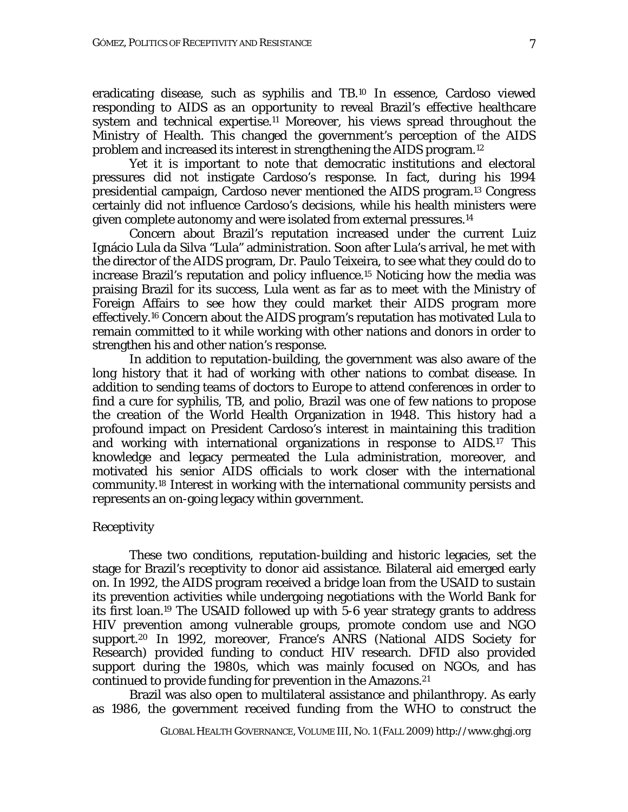eradicating disease, such as syphilis and TB.10 In essence, Cardoso viewed responding to AIDS as an opportunity to reveal Brazil's effective healthcare system and technical expertise.<sup>11</sup> Moreover, his views spread throughout the Ministry of Health. This changed the government's perception of the AIDS problem and increased its interest in strengthening the AIDS program.12

 Yet it is important to note that democratic institutions and electoral pressures did not instigate Cardoso's response. In fact, during his 1994 presidential campaign, Cardoso never mentioned the AIDS program.13 Congress certainly did not influence Cardoso's decisions, while his health ministers were given complete autonomy and were isolated from external pressures.<sup>14</sup>

 Concern about Brazil's reputation increased under the current Luiz Ignácio Lula da Silva "Lula" administration. Soon after Lula's arrival, he met with the director of the AIDS program, Dr. Paulo Teixeira, to see what they could do to increase Brazil's reputation and policy influence.15 Noticing how the media was praising Brazil for its success, Lula went as far as to meet with the Ministry of Foreign Affairs to see how they could market their AIDS program more effectively.16 Concern about the AIDS program's reputation has motivated Lula to remain committed to it while working with other nations and donors in order to strengthen his and other nation's response.

 In addition to reputation-building, the government was also aware of the long history that it had of working with other nations to combat disease. In addition to sending teams of doctors to Europe to attend conferences in order to find a cure for syphilis, TB, and polio, Brazil was one of few nations to propose the creation of the World Health Organization in 1948. This history had a profound impact on President Cardoso's interest in maintaining this tradition and working with international organizations in response to AIDS.17 This knowledge and legacy permeated the Lula administration, moreover, and motivated his senior AIDS officials to work closer with the international community.18 Interest in working with the international community persists and represents an on-going legacy within government.

## *Receptivity*

These two conditions, reputation-building and historic legacies, set the stage for Brazil's receptivity to donor aid assistance. Bilateral aid emerged early on. In 1992, the AIDS program received a bridge loan from the USAID to sustain its prevention activities while undergoing negotiations with the World Bank for its first loan.19 The USAID followed up with 5-6 year strategy grants to address HIV prevention among vulnerable groups, promote condom use and NGO support.20 In 1992, moreover, France's ANRS (National AIDS Society for Research) provided funding to conduct HIV research. DFID also provided support during the 1980s, which was mainly focused on NGOs, and has continued to provide funding for prevention in the Amazons.21

 Brazil was also open to multilateral assistance and philanthropy. As early as 1986, the government received funding from the WHO to construct the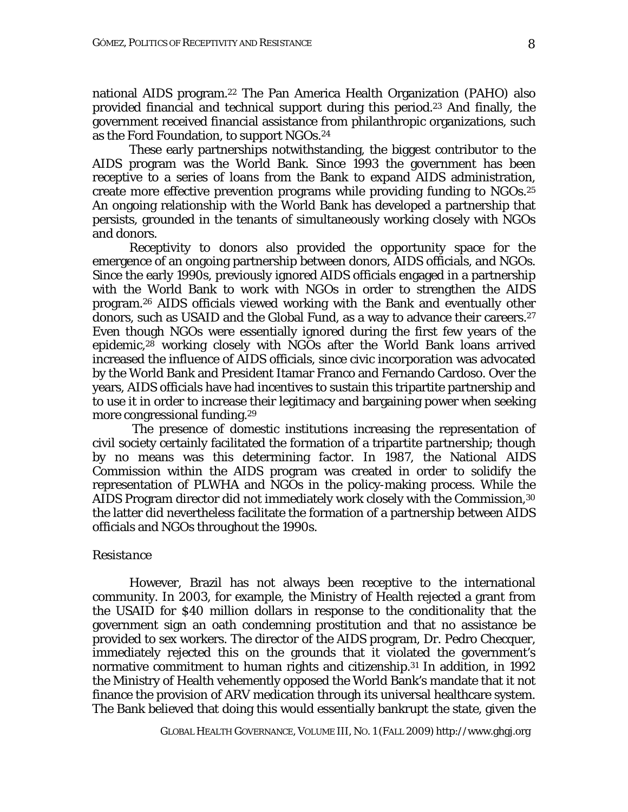national AIDS program.22 The Pan America Health Organization (PAHO) also provided financial and technical support during this period.23 And finally, the government received financial assistance from philanthropic organizations, such as the Ford Foundation, to support NGOs.24

These early partnerships notwithstanding, the biggest contributor to the AIDS program was the World Bank. Since 1993 the government has been receptive to a series of loans from the Bank to expand AIDS administration, create more effective prevention programs while providing funding to NGOs.25 An ongoing relationship with the World Bank has developed a partnership that persists, grounded in the tenants of simultaneously working closely with NGOs and donors.

 Receptivity to donors also provided the opportunity space for the emergence of an ongoing partnership between donors, AIDS officials, and NGOs. Since the early 1990s, previously ignored AIDS officials engaged in a partnership with the World Bank to work with NGOs in order to strengthen the AIDS program.26 AIDS officials viewed working with the Bank and eventually other donors, such as USAID and the Global Fund, as a way to advance their careers.27 Even though NGOs were essentially ignored during the first few years of the epidemic,28 working closely with NGOs after the World Bank loans arrived increased the influence of AIDS officials, since civic incorporation was advocated by the World Bank and President Itamar Franco and Fernando Cardoso. Over the years, AIDS officials have had incentives to sustain this tripartite partnership and to use it in order to increase their legitimacy and bargaining power when seeking more congressional funding.29

 The presence of domestic institutions increasing the representation of civil society certainly facilitated the formation of a tripartite partnership; though by no means was this determining factor. In 1987, the National AIDS Commission within the AIDS program was created in order to solidify the representation of PLWHA and NGOs in the policy-making process. While the AIDS Program director did not immediately work closely with the Commission,30 the latter did nevertheless facilitate the formation of a partnership between AIDS officials and NGOs throughout the 1990s.

#### *Resistance*

However, Brazil has not always been receptive to the international community. In 2003, for example, the Ministry of Health rejected a grant from the USAID for \$40 million dollars in response to the conditionality that the government sign an oath condemning prostitution and that no assistance be provided to sex workers. The director of the AIDS program, Dr. Pedro Checquer, immediately rejected this on the grounds that it violated the government's normative commitment to human rights and citizenship.<sup>31</sup> In addition, in 1992 the Ministry of Health vehemently opposed the World Bank's mandate that it not finance the provision of ARV medication through its universal healthcare system. The Bank believed that doing this would essentially bankrupt the state, given the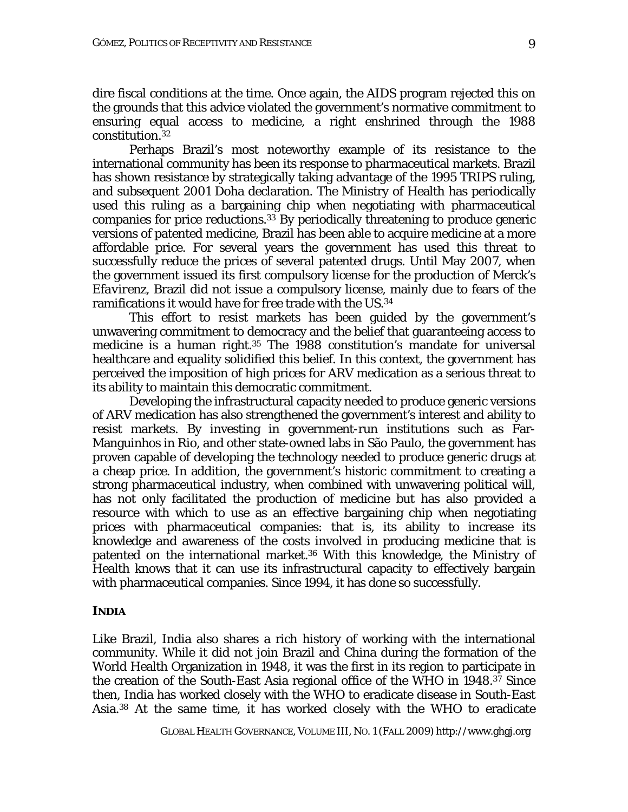dire fiscal conditions at the time. Once again, the AIDS program rejected this on the grounds that this advice violated the government's normative commitment to ensuring equal access to medicine, a right enshrined through the 1988 constitution.32

 Perhaps Brazil's most noteworthy example of its resistance to the international community has been its response to pharmaceutical markets. Brazil has shown resistance by strategically taking advantage of the 1995 TRIPS ruling, and subsequent 2001 Doha declaration. The Ministry of Health has periodically used this ruling as a bargaining chip when negotiating with pharmaceutical companies for price reductions.33 By periodically threatening to produce generic versions of patented medicine, Brazil has been able to acquire medicine at a more affordable price. For several years the government has used this threat to successfully reduce the prices of several patented drugs. Until May 2007, when the government issued its first compulsory license for the production of Merck's *Efavirenz*, Brazil did not issue a compulsory license, mainly due to fears of the ramifications it would have for free trade with the US.34

 This effort to resist markets has been guided by the government's unwavering commitment to democracy and the belief that guaranteeing access to medicine is a human right.35 The 1988 constitution's mandate for universal healthcare and equality solidified this belief. In this context, the government has perceived the imposition of high prices for ARV medication as a serious threat to its ability to maintain this democratic commitment.

 Developing the infrastructural capacity needed to produce generic versions of ARV medication has also strengthened the government's interest and ability to resist markets. By investing in government-run institutions such as Far-Manguinhos in Rio, and other state-owned labs in São Paulo, the government has proven capable of developing the technology needed to produce generic drugs at a cheap price. In addition, the government's historic commitment to creating a strong pharmaceutical industry, when combined with unwavering political will, has not only facilitated the production of medicine but has also provided a resource with which to use as an effective bargaining chip when negotiating prices with pharmaceutical companies: that is, its ability to increase its knowledge and awareness of the costs involved in producing medicine that is patented on the international market.36 With this knowledge, the Ministry of Health knows that it can use its infrastructural capacity to effectively bargain with pharmaceutical companies. Since 1994, it has done so successfully.

## **INDIA**

Like Brazil, India also shares a rich history of working with the international community. While it did not join Brazil and China during the formation of the World Health Organization in 1948, it was the first in its region to participate in the creation of the South-East Asia regional office of the WHO in 1948.37 Since then, India has worked closely with the WHO to eradicate disease in South-East Asia.38 At the same time, it has worked closely with the WHO to eradicate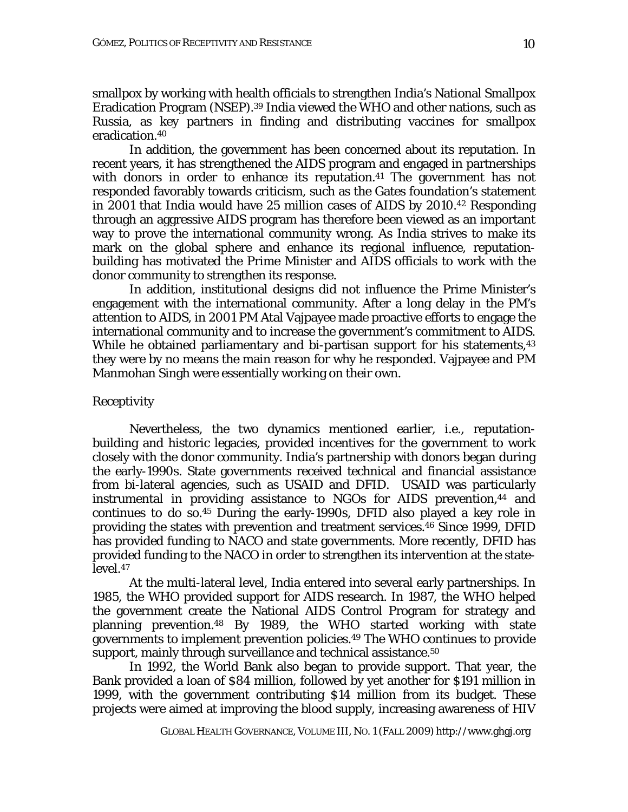smallpox by working with health officials to strengthen India's National Smallpox Eradication Program (NSEP).39 India viewed the WHO and other nations, such as Russia, as key partners in finding and distributing vaccines for smallpox eradication.40

 In addition, the government has been concerned about its reputation. In recent years, it has strengthened the AIDS program and engaged in partnerships with donors in order to enhance its reputation.<sup>41</sup> The government has not responded favorably towards criticism, such as the Gates foundation's statement in 2001 that India would have 25 million cases of AIDS by 2010.42 Responding through an aggressive AIDS program has therefore been viewed as an important way to prove the international community wrong. As India strives to make its mark on the global sphere and enhance its regional influence, reputationbuilding has motivated the Prime Minister and AIDS officials to work with the donor community to strengthen its response.

In addition, institutional designs did not influence the Prime Minister's engagement with the international community. After a long delay in the PM's attention to AIDS, in 2001 PM Atal Vajpayee made proactive efforts to engage the international community and to increase the government's commitment to AIDS. While he obtained parliamentary and bi-partisan support for his statements, <sup>43</sup> they were by no means the main reason for why he responded. Vajpayee and PM Manmohan Singh were essentially working on their own.

## *Receptivity*

Nevertheless, the two dynamics mentioned earlier, i.e., reputationbuilding and historic legacies, provided incentives for the government to work closely with the donor community. India's partnership with donors began during the early-1990s. State governments received technical and financial assistance from bi-lateral agencies, such as USAID and DFID. USAID was particularly instrumental in providing assistance to NGOs for AIDS prevention,<sup>44</sup> and continues to do so.45 During the early-1990s, DFID also played a key role in providing the states with prevention and treatment services.46 Since 1999, DFID has provided funding to NACO and state governments. More recently, DFID has provided funding to the NACO in order to strengthen its intervention at the statelevel.47

At the multi-lateral level, India entered into several early partnerships. In 1985, the WHO provided support for AIDS research. In 1987, the WHO helped the government create the National AIDS Control Program for strategy and planning prevention.48 By 1989, the WHO started working with state governments to implement prevention policies.49 The WHO continues to provide support, mainly through surveillance and technical assistance.<sup>50</sup>

In 1992, the World Bank also began to provide support. That year, the Bank provided a loan of \$84 million, followed by yet another for \$191 million in 1999, with the government contributing \$14 million from its budget. These projects were aimed at improving the blood supply, increasing awareness of HIV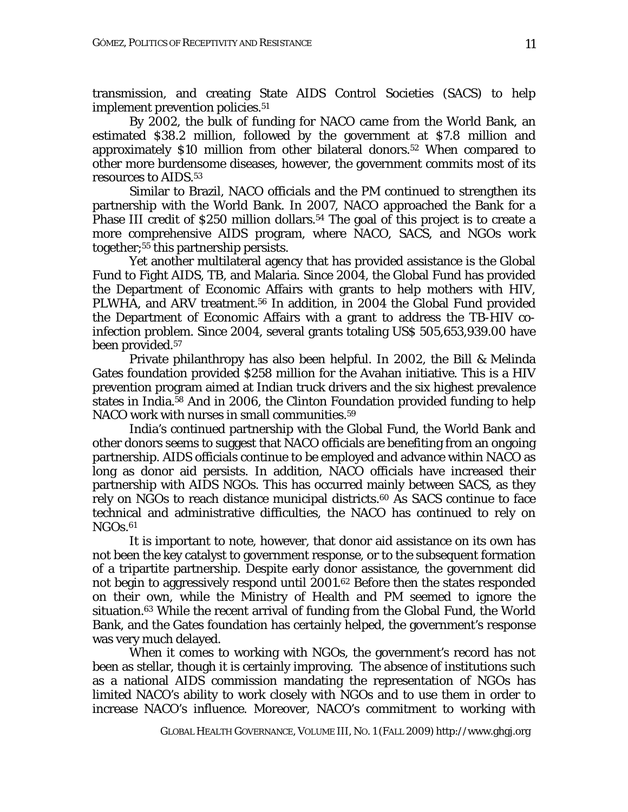transmission, and creating State AIDS Control Societies (SACS) to help implement prevention policies.<sup>51</sup>

By 2002, the bulk of funding for NACO came from the World Bank, an estimated \$38.2 million, followed by the government at \$7.8 million and approximately \$10 million from other bilateral donors.52 When compared to other more burdensome diseases, however, the government commits most of its resources to AIDS.53

 Similar to Brazil, NACO officials and the PM continued to strengthen its partnership with the World Bank. In 2007, NACO approached the Bank for a Phase III credit of \$250 million dollars.<sup>54</sup> The goal of this project is to create a more comprehensive AIDS program, where NACO, SACS, and NGOs work together;55 this partnership persists.

 Yet another multilateral agency that has provided assistance is the Global Fund to Fight AIDS, TB, and Malaria. Since 2004, the Global Fund has provided the Department of Economic Affairs with grants to help mothers with HIV, PLWHA, and ARV treatment.56 In addition, in 2004 the Global Fund provided the Department of Economic Affairs with a grant to address the TB-HIV coinfection problem. Since 2004, several grants totaling US\$ 505,653,939.00 have been provided.57

 Private philanthropy has also been helpful. In 2002, the Bill & Melinda Gates foundation provided \$258 million for the Avahan initiative. This is a HIV prevention program aimed at Indian truck drivers and the six highest prevalence states in India.58 And in 2006, the Clinton Foundation provided funding to help NACO work with nurses in small communities.<sup>59</sup>

India's continued partnership with the Global Fund, the World Bank and other donors seems to suggest that NACO officials are benefiting from an ongoing partnership. AIDS officials continue to be employed and advance within NACO as long as donor aid persists. In addition, NACO officials have increased their partnership with AIDS NGOs. This has occurred mainly between SACS, as they rely on NGOs to reach distance municipal districts.<sup>60</sup> As SACS continue to face technical and administrative difficulties, the NACO has continued to rely on  $NGOs.61$ 

It is important to note, however, that donor aid assistance on its own has not been the key catalyst to government response, or to the subsequent formation of a tripartite partnership. Despite early donor assistance, the government did not begin to aggressively respond until 2001.62 Before then the states responded on their own, while the Ministry of Health and PM seemed to ignore the situation.63 While the recent arrival of funding from the Global Fund, the World Bank, and the Gates foundation has certainly helped, the government's response was very much delayed.

When it comes to working with NGOs, the government's record has not been as stellar, though it is certainly improving. The absence of institutions such as a national AIDS commission mandating the representation of NGOs has limited NACO's ability to work closely with NGOs and to use them in order to increase NACO's influence. Moreover, NACO's commitment to working with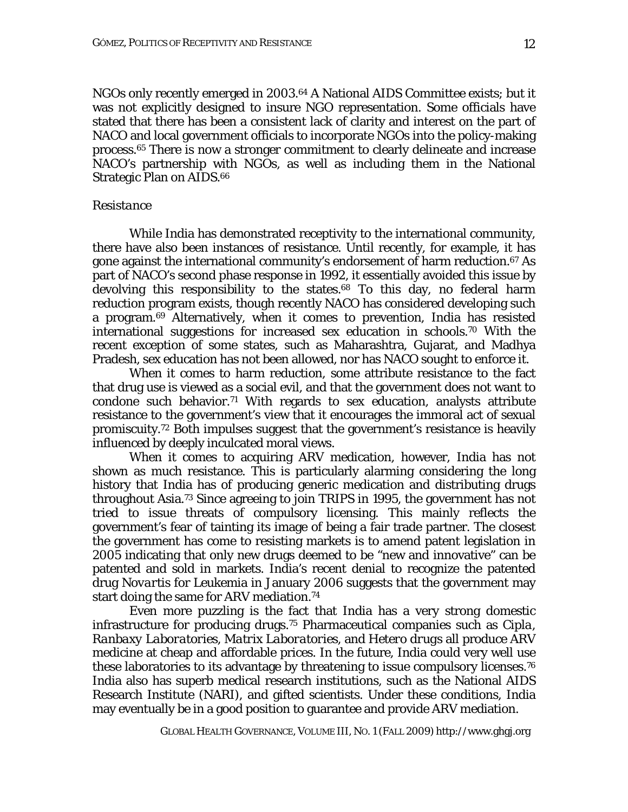NGOs only recently emerged in 2003.64 A National AIDS Committee exists; but it was not explicitly designed to insure NGO representation. Some officials have stated that there has been a consistent lack of clarity and interest on the part of NACO and local government officials to incorporate NGOs into the policy-making process.65 There is now a stronger commitment to clearly delineate and increase NACO's partnership with NGOs, as well as including them in the National Strategic Plan on AIDS.66

#### *Resistance*

While India has demonstrated receptivity to the international community, there have also been instances of resistance. Until recently, for example, it has gone against the international community's endorsement of harm reduction.67 As part of NACO's second phase response in 1992, it essentially avoided this issue by devolving this responsibility to the states.<sup>68</sup> To this day, no federal harm reduction program exists, though recently NACO has considered developing such a program.69 Alternatively, when it comes to prevention, India has resisted international suggestions for increased sex education in schools.70 With the recent exception of some states, such as Maharashtra, Gujarat, and Madhya Pradesh, sex education has not been allowed, nor has NACO sought to enforce it.

When it comes to harm reduction, some attribute resistance to the fact that drug use is viewed as a social evil, and that the government does not want to condone such behavior.<sup>71</sup> With regards to sex education, analysts attribute resistance to the government's view that it encourages the immoral act of sexual promiscuity.72 Both impulses suggest that the government's resistance is heavily influenced by deeply inculcated moral views.

 When it comes to acquiring ARV medication, however, India has not shown as much resistance. This is particularly alarming considering the long history that India has of producing generic medication and distributing drugs throughout Asia.73 Since agreeing to join TRIPS in 1995, the government has not tried to issue threats of compulsory licensing. This mainly reflects the government's fear of tainting its image of being a fair trade partner. The closest the government has come to resisting markets is to amend patent legislation in 2005 indicating that only new drugs deemed to be "new and innovative" can be patented and sold in markets. India's recent denial to recognize the patented drug *Novartis* for Leukemia in January 2006 suggests that the government may start doing the same for ARV mediation.<sup>74</sup>

 Even more puzzling is the fact that India has a very strong domestic infrastructure for producing drugs.75 Pharmaceutical companies such as *Cipla*, *Ranbaxy Laboratories*, *Matrix Laboratories*, and *Hetero drugs* all produce ARV medicine at cheap and affordable prices. In the future, India could very well use these laboratories to its advantage by threatening to issue compulsory licenses.76 India also has superb medical research institutions, such as the National AIDS Research Institute (NARI), and gifted scientists. Under these conditions, India may eventually be in a good position to guarantee and provide ARV mediation.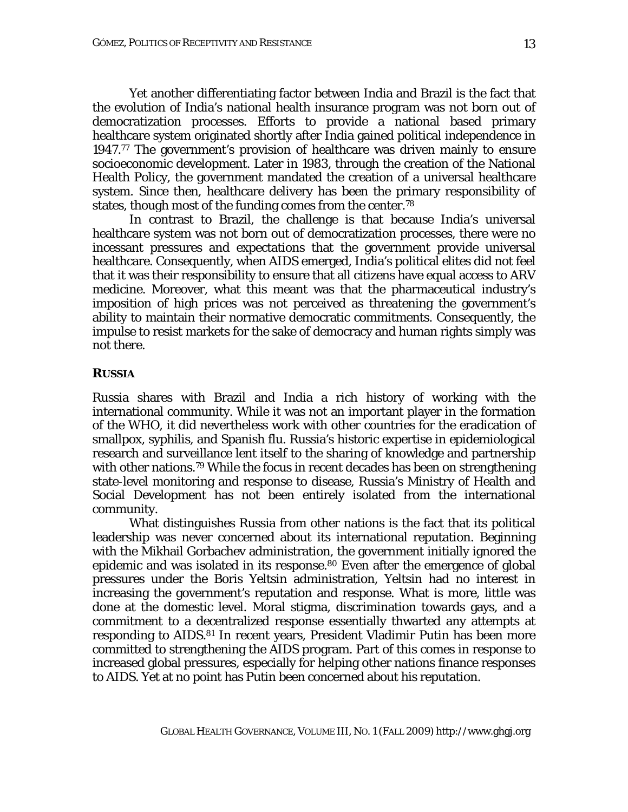Yet another differentiating factor between India and Brazil is the fact that the evolution of India's national health insurance program was not born out of democratization processes. Efforts to provide a national based primary healthcare system originated shortly after India gained political independence in 1947.77 The government's provision of healthcare was driven mainly to ensure socioeconomic development. Later in 1983, through the creation of the National Health Policy, the government mandated the creation of a universal healthcare system. Since then, healthcare delivery has been the primary responsibility of states, though most of the funding comes from the center.78

 In contrast to Brazil, the challenge is that because India's universal healthcare system was not born out of democratization processes, there were no incessant pressures and expectations that the government provide universal healthcare. Consequently, when AIDS emerged, India's political elites did not feel that it was their responsibility to ensure that all citizens have equal access to ARV medicine. Moreover, what this meant was that the pharmaceutical industry's imposition of high prices was not perceived as threatening the government's ability to maintain their normative democratic commitments. Consequently, the impulse to resist markets for the sake of democracy and human rights simply was not there.

## **RUSSIA**

Russia shares with Brazil and India a rich history of working with the international community. While it was not an important player in the formation of the WHO, it did nevertheless work with other countries for the eradication of smallpox, syphilis, and Spanish flu. Russia's historic expertise in epidemiological research and surveillance lent itself to the sharing of knowledge and partnership with other nations.<sup>79</sup> While the focus in recent decades has been on strengthening state-level monitoring and response to disease, Russia's Ministry of Health and Social Development has not been entirely isolated from the international community.

 What distinguishes Russia from other nations is the fact that its political leadership was never concerned about its international reputation. Beginning with the Mikhail Gorbachev administration, the government initially ignored the epidemic and was isolated in its response.<sup>80</sup> Even after the emergence of global pressures under the Boris Yeltsin administration, Yeltsin had no interest in increasing the government's reputation and response. What is more, little was done at the domestic level. Moral stigma, discrimination towards gays, and a commitment to a decentralized response essentially thwarted any attempts at responding to AIDS.81 In recent years, President Vladimir Putin has been more committed to strengthening the AIDS program. Part of this comes in response to increased global pressures, especially for helping other nations finance responses to AIDS. Yet at no point has Putin been concerned about his reputation.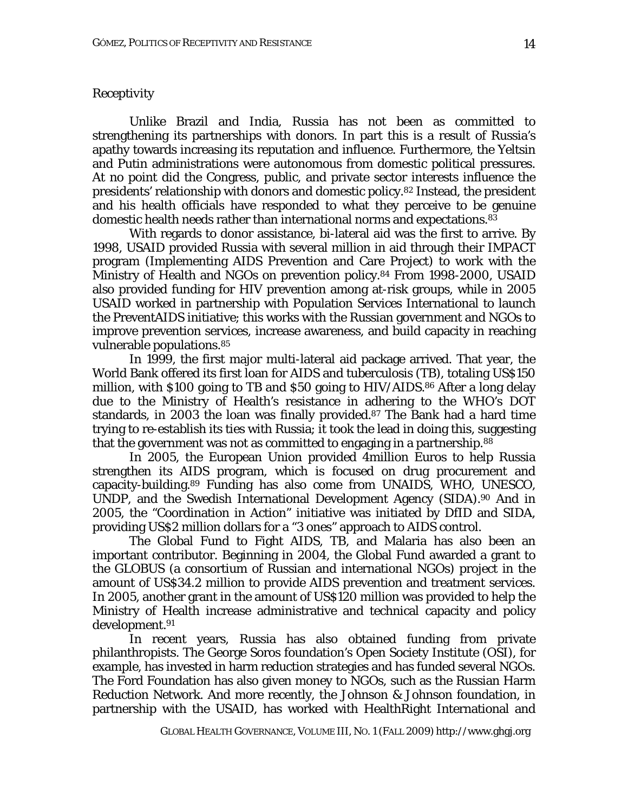## *Receptivity*

Unlike Brazil and India, Russia has not been as committed to strengthening its partnerships with donors. In part this is a result of Russia's apathy towards increasing its reputation and influence. Furthermore, the Yeltsin and Putin administrations were autonomous from domestic political pressures. At no point did the Congress, public, and private sector interests influence the presidents' relationship with donors and domestic policy.82 Instead, the president and his health officials have responded to what they perceive to be genuine domestic health needs rather than international norms and expectations.83

With regards to donor assistance, bi-lateral aid was the first to arrive. By 1998, USAID provided Russia with several million in aid through their IMPACT program (Implementing AIDS Prevention and Care Project) to work with the Ministry of Health and NGOs on prevention policy.84 From 1998-2000, USAID also provided funding for HIV prevention among at-risk groups, while in 2005 USAID worked in partnership with Population Services International to launch the PreventAIDS initiative; this works with the Russian government and NGOs to improve prevention services, increase awareness, and build capacity in reaching vulnerable populations.85

In 1999, the first major multi-lateral aid package arrived. That year, the World Bank offered its first loan for AIDS and tuberculosis (TB), totaling US\$150 million, with \$100 going to TB and \$50 going to HIV/AIDS.<sup>86</sup> After a long delay due to the Ministry of Health's resistance in adhering to the WHO's DOT standards, in 2003 the loan was finally provided.87 The Bank had a hard time trying to re-establish its ties with Russia; it took the lead in doing this, suggesting that the government was not as committed to engaging in a partnership.88

In 2005, the European Union provided 4million Euros to help Russia strengthen its AIDS program, which is focused on drug procurement and capacity-building.89 Funding has also come from UNAIDS, WHO, UNESCO, UNDP, and the Swedish International Development Agency (SIDA).90 And in 2005, the "Coordination in Action" initiative was initiated by DfID and SIDA, providing US\$2 million dollars for a "3 ones" approach to AIDS control.

The Global Fund to Fight AIDS, TB, and Malaria has also been an important contributor. Beginning in 2004, the Global Fund awarded a grant to the GLOBUS (a consortium of Russian and international NGOs) project in the amount of US\$34.2 million to provide AIDS prevention and treatment services. In 2005, another grant in the amount of US\$120 million was provided to help the Ministry of Health increase administrative and technical capacity and policy development.91

In recent years, Russia has also obtained funding from private philanthropists. The George Soros foundation's Open Society Institute (OSI), for example, has invested in harm reduction strategies and has funded several NGOs. The Ford Foundation has also given money to NGOs, such as the Russian Harm Reduction Network. And more recently, the Johnson & Johnson foundation, in partnership with the USAID, has worked with HealthRight International and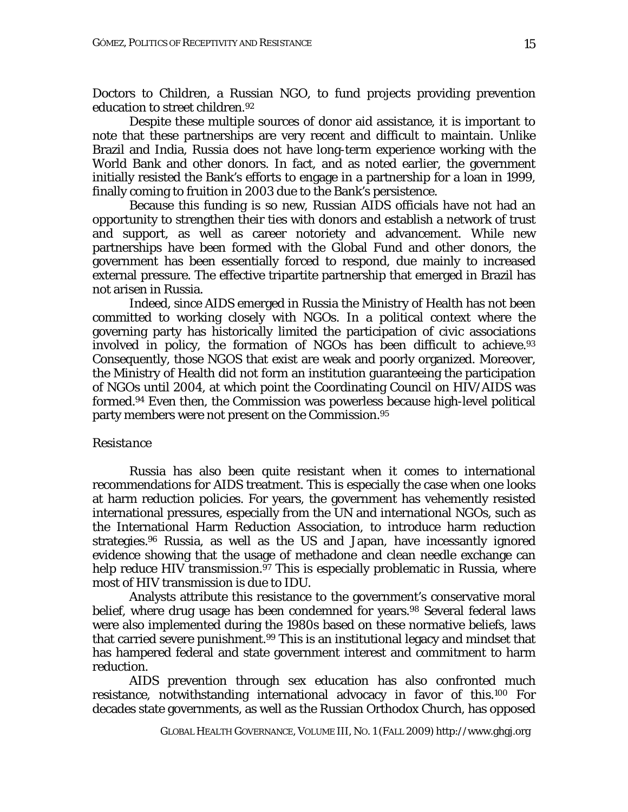Doctors to Children, a Russian NGO, to fund projects providing prevention education to street children.92

 Despite these multiple sources of donor aid assistance, it is important to note that these partnerships are very recent and difficult to maintain. Unlike Brazil and India, Russia does not have long-term experience working with the World Bank and other donors. In fact, and as noted earlier, the government initially resisted the Bank's efforts to engage in a partnership for a loan in 1999, finally coming to fruition in 2003 due to the Bank's persistence.

Because this funding is so new, Russian AIDS officials have not had an opportunity to strengthen their ties with donors and establish a network of trust and support, as well as career notoriety and advancement. While new partnerships have been formed with the Global Fund and other donors, the government has been essentially forced to respond, due mainly to increased external pressure. The effective tripartite partnership that emerged in Brazil has not arisen in Russia.

Indeed, since AIDS emerged in Russia the Ministry of Health has not been committed to working closely with NGOs. In a political context where the governing party has historically limited the participation of civic associations involved in policy, the formation of NGOs has been difficult to achieve.<sup>93</sup> Consequently, those NGOS that exist are weak and poorly organized. Moreover, the Ministry of Health did not form an institution guaranteeing the participation of NGOs until 2004, at which point the Coordinating Council on HIV/AIDS was formed.94 Even then, the Commission was powerless because high-level political party members were not present on the Commission.95

#### *Resistance*

Russia has also been quite resistant when it comes to international recommendations for AIDS treatment. This is especially the case when one looks at harm reduction policies. For years, the government has vehemently resisted international pressures, especially from the UN and international NGOs, such as the International Harm Reduction Association, to introduce harm reduction strategies.96 Russia, as well as the US and Japan, have incessantly ignored evidence showing that the usage of methadone and clean needle exchange can help reduce HIV transmission.<sup>97</sup> This is especially problematic in Russia, where most of HIV transmission is due to IDU.

Analysts attribute this resistance to the government's conservative moral belief, where drug usage has been condemned for years.<sup>98</sup> Several federal laws were also implemented during the 1980s based on these normative beliefs, laws that carried severe punishment.<sup>99</sup> This is an institutional legacy and mindset that has hampered federal and state government interest and commitment to harm reduction.

AIDS prevention through sex education has also confronted much resistance, notwithstanding international advocacy in favor of this.100 For decades state governments, as well as the Russian Orthodox Church, has opposed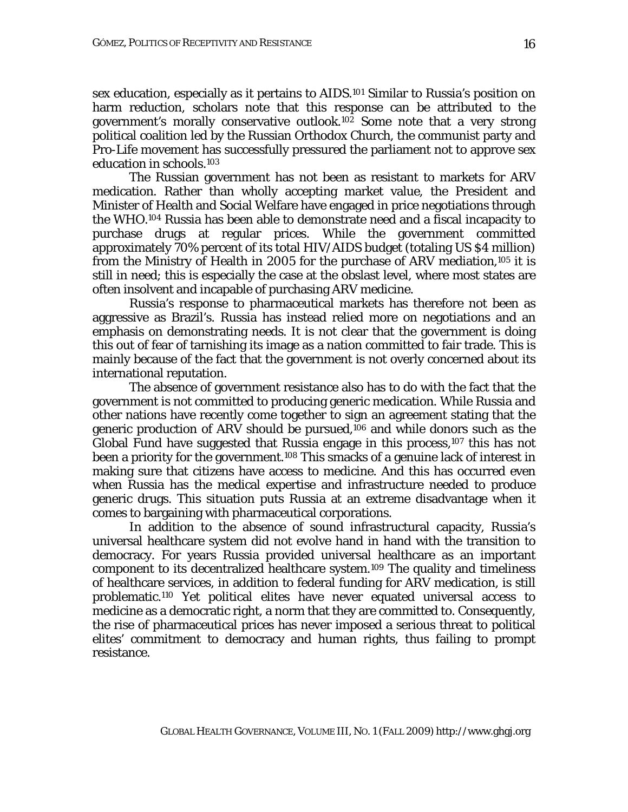sex education, especially as it pertains to AIDS.101 Similar to Russia's position on harm reduction, scholars note that this response can be attributed to the government's morally conservative outlook.102 Some note that a very strong political coalition led by the Russian Orthodox Church, the communist party and Pro-Life movement has successfully pressured the parliament not to approve sex education in schools.103

The Russian government has not been as resistant to markets for ARV medication. Rather than wholly accepting market value, the President and Minister of Health and Social Welfare have engaged in price negotiations through the WHO.104 Russia has been able to demonstrate need and a fiscal incapacity to purchase drugs at regular prices. While the government committed approximately 70% percent of its total HIV/AIDS budget (totaling US \$4 million) from the Ministry of Health in 2005 for the purchase of ARV mediation,105 it is still in need; this is especially the case at the obslast level, where most states are often insolvent and incapable of purchasing ARV medicine.

Russia's response to pharmaceutical markets has therefore not been as aggressive as Brazil's. Russia has instead relied more on negotiations and an emphasis on demonstrating needs. It is not clear that the government is doing this out of fear of tarnishing its image as a nation committed to fair trade. This is mainly because of the fact that the government is not overly concerned about its international reputation.

The absence of government resistance also has to do with the fact that the government is not committed to producing generic medication. While Russia and other nations have recently come together to sign an agreement stating that the generic production of ARV should be pursued,<sup>106</sup> and while donors such as the Global Fund have suggested that Russia engage in this process,<sup>107</sup> this has not been a priority for the government.<sup>108</sup> This smacks of a genuine lack of interest in making sure that citizens have access to medicine. And this has occurred even when Russia has the medical expertise and infrastructure needed to produce generic drugs. This situation puts Russia at an extreme disadvantage when it comes to bargaining with pharmaceutical corporations.

 In addition to the absence of sound infrastructural capacity, Russia's universal healthcare system did not evolve hand in hand with the transition to democracy. For years Russia provided universal healthcare as an important component to its decentralized healthcare system.109 The quality and timeliness of healthcare services, in addition to federal funding for ARV medication, is still problematic.110 Yet political elites have never equated universal access to medicine as a democratic right, a norm that they are committed to. Consequently, the rise of pharmaceutical prices has never imposed a serious threat to political elites' commitment to democracy and human rights, thus failing to prompt resistance.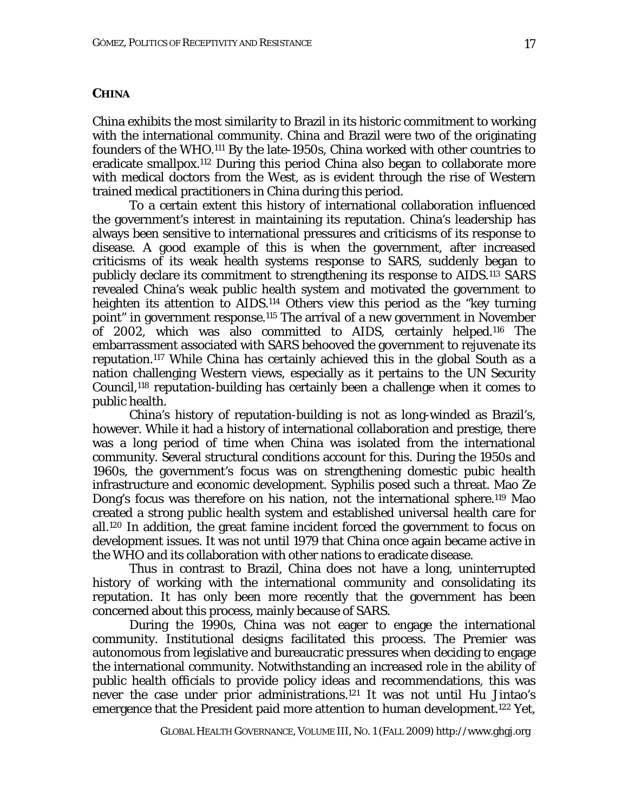## **CHINA**

China exhibits the most similarity to Brazil in its historic commitment to working with the international community. China and Brazil were two of the originating founders of the WHO.111 By the late-1950s, China worked with other countries to eradicate smallpox.112 During this period China also began to collaborate more with medical doctors from the West, as is evident through the rise of Western trained medical practitioners in China during this period.

 To a certain extent this history of international collaboration influenced the government's interest in maintaining its reputation. China's leadership has always been sensitive to international pressures and criticisms of its response to disease. A good example of this is when the government, after increased criticisms of its weak health systems response to SARS, suddenly began to publicly declare its commitment to strengthening its response to AIDS.113 SARS revealed China's weak public health system and motivated the government to heighten its attention to AIDS.<sup>114</sup> Others view this period as the "key turning point" in government response.115 The arrival of a new government in November of 2002, which was also committed to AIDS, certainly helped.116 The embarrassment associated with SARS behooved the government to rejuvenate its reputation.117 While China has certainly achieved this in the global South as a nation challenging Western views, especially as it pertains to the UN Security Council,118 reputation-building has certainly been a challenge when it comes to public health.

 China's history of reputation-building is not as long-winded as Brazil's, however. While it had a history of international collaboration and prestige, there was a long period of time when China was isolated from the international community. Several structural conditions account for this. During the 1950s and 1960s, the government's focus was on strengthening domestic pubic health infrastructure and economic development. Syphilis posed such a threat. Mao Ze Dong's focus was therefore on his nation, not the international sphere.119 Mao created a strong public health system and established universal health care for all.120 In addition, the great famine incident forced the government to focus on development issues. It was not until 1979 that China once again became active in the WHO and its collaboration with other nations to eradicate disease.

 Thus in contrast to Brazil, China does not have a long, uninterrupted history of working with the international community and consolidating its reputation. It has only been more recently that the government has been concerned about this process, mainly because of SARS.

During the 1990s, China was not eager to engage the international community. Institutional designs facilitated this process. The Premier was autonomous from legislative and bureaucratic pressures when deciding to engage the international community. Notwithstanding an increased role in the ability of public health officials to provide policy ideas and recommendations, this was never the case under prior administrations.121 It was not until Hu Jintao's emergence that the President paid more attention to human development.122 Yet,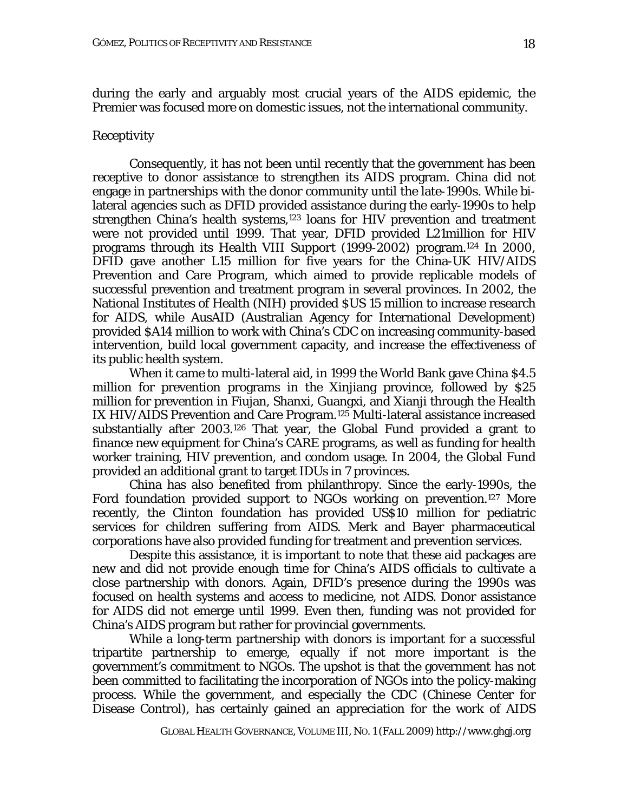during the early and arguably most crucial years of the AIDS epidemic, the Premier was focused more on domestic issues, not the international community.

## *Receptivity*

Consequently, it has not been until recently that the government has been receptive to donor assistance to strengthen its AIDS program. China did not engage in partnerships with the donor community until the late-1990s. While bilateral agencies such as DFID provided assistance during the early-1990s to help strengthen China's health systems,<sup>123</sup> loans for HIV prevention and treatment were not provided until 1999. That year, DFID provided L21million for HIV programs through its *Health VIII Support* (1999-2002) program.124 In 2000, DFID gave another L15 million for five years for the China-UK HIV/AIDS Prevention and Care Program, which aimed to provide replicable models of successful prevention and treatment program in several provinces. In 2002, the National Institutes of Health (NIH) provided \$US 15 million to increase research for AIDS, while AusAID (Australian Agency for International Development) provided \$A14 million to work with China's CDC on increasing community-based intervention, build local government capacity, and increase the effectiveness of its public health system.

When it came to multi-lateral aid, in 1999 the World Bank gave China \$4.5 million for prevention programs in the Xinjiang province, followed by \$25 million for prevention in Fiujan, Shanxi, Guangxi, and Xianji through the Health IX HIV/AIDS Prevention and Care Program.125 Multi-lateral assistance increased substantially after 2003.126 That year, the Global Fund provided a grant to finance new equipment for China's CARE programs, as well as funding for health worker training, HIV prevention, and condom usage. In 2004, the Global Fund provided an additional grant to target IDUs in 7 provinces.

China has also benefited from philanthropy. Since the early-1990s, the Ford foundation provided support to NGOs working on prevention.127 More recently, the Clinton foundation has provided US\$10 million for pediatric services for children suffering from AIDS. Merk and Bayer pharmaceutical corporations have also provided funding for treatment and prevention services.

Despite this assistance, it is important to note that these aid packages are new and did not provide enough time for China's AIDS officials to cultivate a close partnership with donors. Again, DFID's presence during the 1990s was focused on health systems and access to medicine, not AIDS. Donor assistance for AIDS did not emerge until 1999. Even then, funding was not provided for China's AIDS program but rather for provincial governments.

While a long-term partnership with donors is important for a successful tripartite partnership to emerge, equally if not more important is the government's commitment to NGOs. The upshot is that the government has not been committed to facilitating the incorporation of NGOs into the policy-making process. While the government, and especially the CDC (Chinese Center for Disease Control), has certainly gained an appreciation for the work of AIDS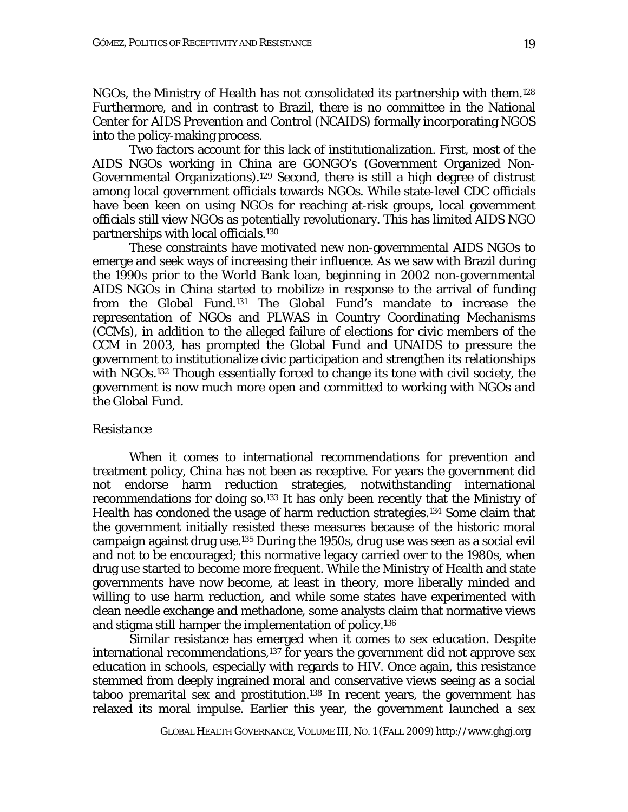NGOs, the Ministry of Health has not consolidated its partnership with them.128 Furthermore, and in contrast to Brazil, there is no committee in the National Center for AIDS Prevention and Control (NCAIDS) formally incorporating NGOS into the policy-making process.

Two factors account for this lack of institutionalization. First, most of the AIDS NGOs working in China are GONGO's (Government Organized Non-Governmental Organizations).129 Second, there is still a high degree of distrust among local government officials towards NGOs. While state-level CDC officials have been keen on using NGOs for reaching at-risk groups, local government officials still view NGOs as potentially revolutionary. This has limited AIDS NGO partnerships with local officials.130

 These constraints have motivated new non-governmental AIDS NGOs to emerge and seek ways of increasing their influence. As we saw with Brazil during the 1990s prior to the World Bank loan, beginning in 2002 non-governmental AIDS NGOs in China started to mobilize in response to the arrival of funding from the Global Fund.131 The Global Fund's mandate to increase the representation of NGOs and PLWAS in Country Coordinating Mechanisms (CCMs), in addition to the alleged failure of elections for civic members of the CCM in 2003, has prompted the Global Fund and UNAIDS to pressure the government to institutionalize civic participation and strengthen its relationships with NGOs.<sup>132</sup> Though essentially forced to change its tone with civil society, the government is now much more open and committed to working with NGOs and the Global Fund.

#### *Resistance*

When it comes to international recommendations for prevention and treatment policy, China has not been as receptive. For years the government did not endorse harm reduction strategies, notwithstanding international recommendations for doing so.133 It has only been recently that the Ministry of Health has condoned the usage of harm reduction strategies.134 Some claim that the government initially resisted these measures because of the historic moral campaign against drug use.135 During the 1950s, drug use was seen as a social evil and not to be encouraged; this normative legacy carried over to the 1980s, when drug use started to become more frequent. While the Ministry of Health and state governments have now become, at least in theory, more liberally minded and willing to use harm reduction, and while some states have experimented with clean needle exchange and methadone, some analysts claim that normative views and stigma still hamper the implementation of policy.136

 Similar resistance has emerged when it comes to sex education. Despite international recommendations,<sup>137</sup> for years the government did not approve sex education in schools, especially with regards to HIV. Once again, this resistance stemmed from deeply ingrained moral and conservative views seeing as a social taboo premarital sex and prostitution.<sup>138</sup> In recent years, the government has relaxed its moral impulse. Earlier this year, the government launched a sex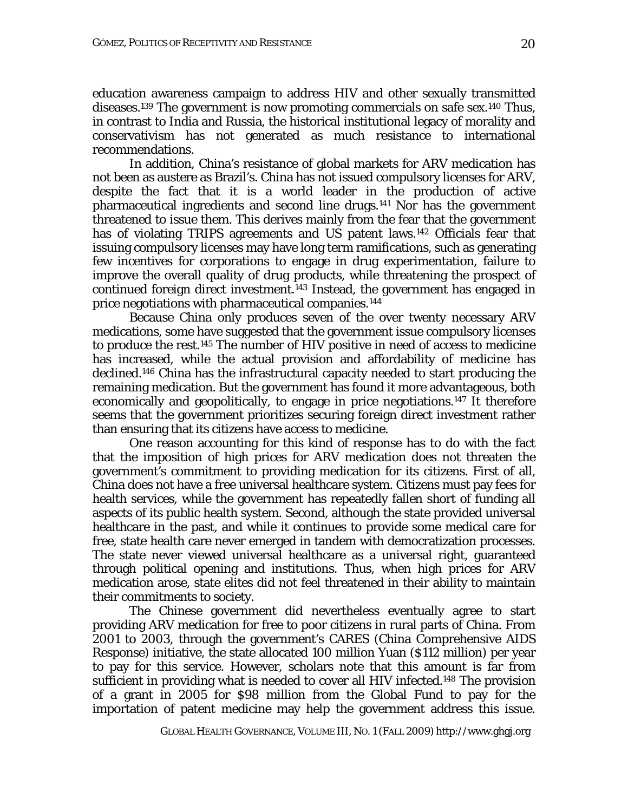education awareness campaign to address HIV and other sexually transmitted diseases.139 The government is now promoting commercials on safe sex.140 Thus, in contrast to India and Russia, the historical institutional legacy of morality and conservativism has not generated as much resistance to international recommendations.

In addition, China's resistance of global markets for ARV medication has not been as austere as Brazil's. China has not issued compulsory licenses for ARV, despite the fact that it is a world leader in the production of active pharmaceutical ingredients and second line drugs.141 Nor has the government threatened to issue them. This derives mainly from the fear that the government has of violating TRIPS agreements and US patent laws.<sup>142</sup> Officials fear that issuing compulsory licenses may have long term ramifications, such as generating few incentives for corporations to engage in drug experimentation, failure to improve the overall quality of drug products, while threatening the prospect of continued foreign direct investment.143 Instead, the government has engaged in price negotiations with pharmaceutical companies.144

 Because China only produces seven of the over twenty necessary ARV medications, some have suggested that the government issue compulsory licenses to produce the rest.145 The number of HIV positive in need of access to medicine has increased, while the actual provision and affordability of medicine has declined.146 China has the infrastructural capacity needed to start producing the remaining medication. But the government has found it more advantageous, both economically and geopolitically, to engage in price negotiations.147 It therefore seems that the government prioritizes securing foreign direct investment rather than ensuring that its citizens have access to medicine.

 One reason accounting for this kind of response has to do with the fact that the imposition of high prices for ARV medication does not threaten the government's commitment to providing medication for its citizens. First of all, China does not have a free universal healthcare system. Citizens must pay fees for health services, while the government has repeatedly fallen short of funding all aspects of its public health system. Second, although the state provided universal healthcare in the past, and while it continues to provide some medical care for free, state health care never emerged in tandem with democratization processes. The state never viewed universal healthcare as a universal right, guaranteed through political opening and institutions. Thus, when high prices for ARV medication arose, state elites did not feel threatened in their ability to maintain their commitments to society.

 The Chinese government did nevertheless eventually agree to start providing ARV medication for free to poor citizens in rural parts of China. From 2001 to 2003, through the government's CARES (China Comprehensive AIDS Response) initiative, the state allocated 100 million Yuan (\$112 million) per year to pay for this service. However, scholars note that this amount is far from sufficient in providing what is needed to cover all HIV infected.148 The provision of a grant in 2005 for \$98 million from the Global Fund to pay for the importation of patent medicine may help the government address this issue.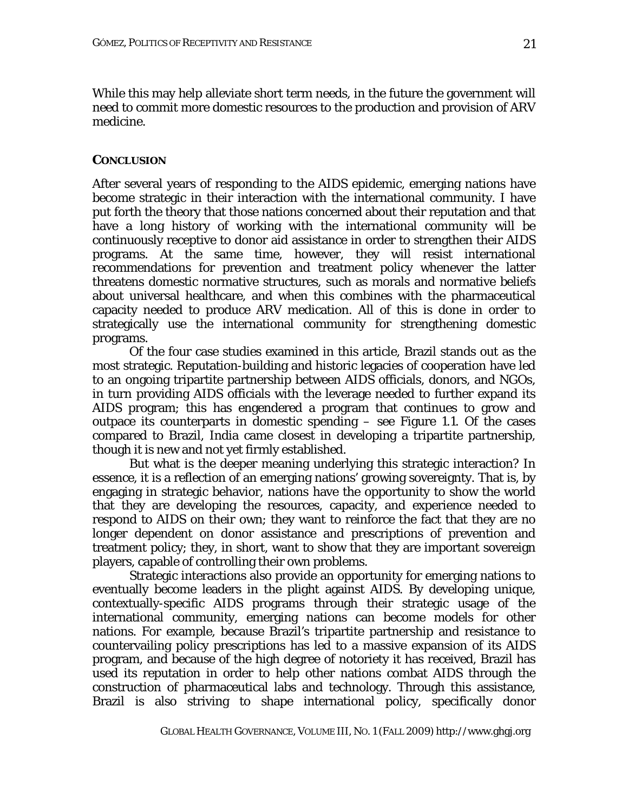While this may help alleviate short term needs, in the future the government will need to commit more domestic resources to the production and provision of ARV medicine.

## **CONCLUSION**

After several years of responding to the AIDS epidemic, emerging nations have become strategic in their interaction with the international community. I have put forth the theory that those nations concerned about their reputation and that have a long history of working with the international community will be continuously receptive to donor aid assistance in order to strengthen their AIDS programs. At the same time, however, they will resist international recommendations for prevention and treatment policy whenever the latter threatens domestic normative structures, such as morals and normative beliefs about universal healthcare, and when this combines with the pharmaceutical capacity needed to produce ARV medication. All of this is done in order to strategically *use* the international community for strengthening domestic programs.

Of the four case studies examined in this article, Brazil stands out as the most strategic. Reputation-building and historic legacies of cooperation have led to an ongoing tripartite partnership between AIDS officials, donors, and NGOs, in turn providing AIDS officials with the leverage needed to further expand its AIDS program; this has engendered a program that continues to grow and outpace its counterparts in domestic spending – see Figure 1.1. Of the cases compared to Brazil, India came closest in developing a tripartite partnership, though it is new and not yet firmly established.

But what is the deeper meaning underlying this strategic interaction? In essence, it is a reflection of an emerging nations' growing sovereignty. That is, by engaging in strategic behavior, nations have the opportunity to show the world that they are developing the resources, capacity, and experience needed to respond to AIDS on their own; they want to reinforce the fact that they are no longer dependent on donor assistance and prescriptions of prevention and treatment policy; they, in short, want to show that they are important sovereign players, capable of controlling their own problems.

Strategic interactions also provide an opportunity for emerging nations to eventually become leaders in the plight against AIDS. By developing unique, contextually-specific AIDS programs through their strategic usage of the international community, emerging nations can become models for other nations. For example, because Brazil's tripartite partnership and resistance to countervailing policy prescriptions has led to a massive expansion of its AIDS program, and because of the high degree of notoriety it has received, Brazil has used its reputation in order to help other nations combat AIDS through the construction of pharmaceutical labs and technology. Through this assistance, Brazil is also striving to shape international policy, specifically donor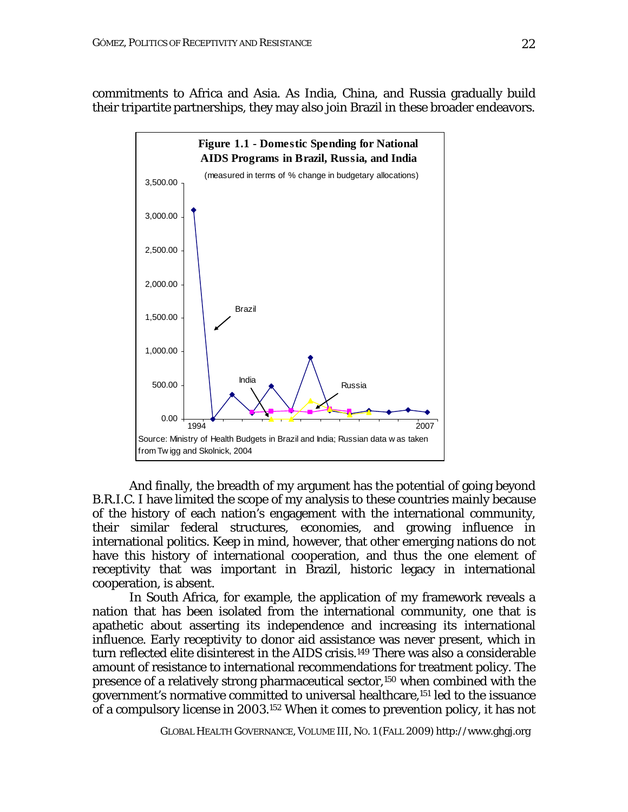commitments to Africa and Asia. As India, China, and Russia gradually build their tripartite partnerships, they may also join Brazil in these broader endeavors.



And finally, the breadth of my argument has the potential of going beyond B.R.I.C. I have limited the scope of my analysis to these countries mainly because of the history of each nation's engagement with the international community, their similar federal structures, economies, and growing influence in international politics. Keep in mind, however, that other emerging nations do not have this history of international cooperation, and thus the one element of receptivity that was important in Brazil, historic legacy in international cooperation, is absent.

In South Africa, for example, the application of my framework reveals a nation that has been isolated from the international community, one that is apathetic about asserting its independence and increasing its international influence. Early receptivity to donor aid assistance was never present, which in turn reflected elite disinterest in the AIDS crisis.149 There was also a considerable amount of resistance to international recommendations for treatment policy. The presence of a relatively strong pharmaceutical sector,150 when combined with the government's normative committed to universal healthcare,151 led to the issuance of a compulsory license in 2003.152 When it comes to prevention policy, it has not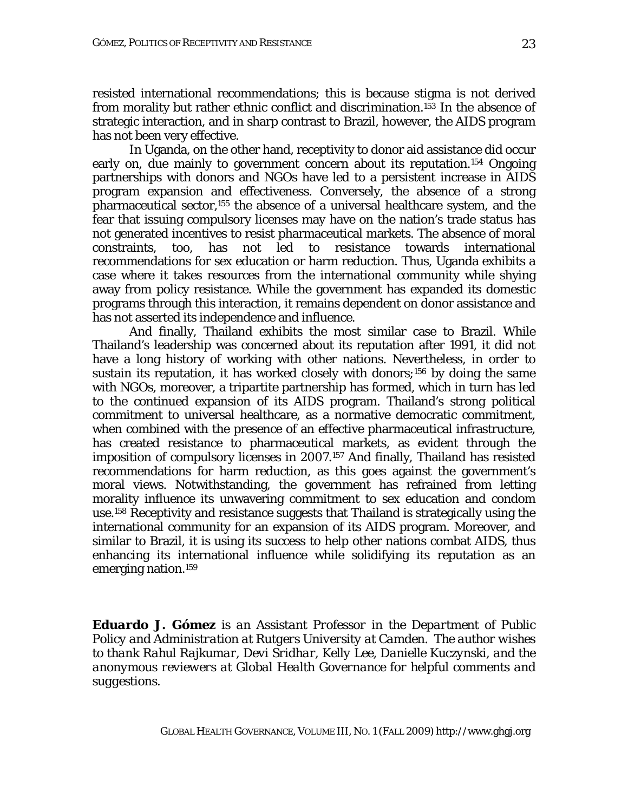resisted international recommendations; this is because stigma is not derived from morality but rather ethnic conflict and discrimination.<sup>153</sup> In the absence of strategic interaction, and in sharp contrast to Brazil, however, the AIDS program has not been very effective.

In Uganda, on the other hand, receptivity to donor aid assistance did occur early on, due mainly to government concern about its reputation.154 Ongoing partnerships with donors and NGOs have led to a persistent increase in AIDS program expansion and effectiveness. Conversely, the absence of a strong pharmaceutical sector,155 the absence of a universal healthcare system, and the fear that issuing compulsory licenses may have on the nation's trade status has not generated incentives to resist pharmaceutical markets. The absence of moral constraints, too, has not led to resistance towards international recommendations for sex education or harm reduction. Thus, Uganda exhibits a case where it takes resources from the international community while shying away from policy resistance. While the government has expanded its domestic programs through this interaction, it remains dependent on donor assistance and has not asserted its independence and influence.

And finally, Thailand exhibits the most similar case to Brazil. While Thailand's leadership was concerned about its reputation after 1991, it did not have a long history of working with other nations. Nevertheless, in order to sustain its reputation, it has worked closely with donors;156 by doing the same with NGOs, moreover, a tripartite partnership has formed, which in turn has led to the continued expansion of its AIDS program. Thailand's strong political commitment to universal healthcare, as a normative democratic commitment, when combined with the presence of an effective pharmaceutical infrastructure, has created resistance to pharmaceutical markets, as evident through the imposition of compulsory licenses in 2007.157 And finally, Thailand has resisted recommendations for harm reduction, as this goes against the government's moral views. Notwithstanding, the government has refrained from letting morality influence its unwavering commitment to sex education and condom use.158 Receptivity and resistance suggests that Thailand is strategically using the international community for an expansion of its AIDS program. Moreover, and similar to Brazil, it is using its success to help other nations combat AIDS, thus enhancing its international influence while solidifying its reputation as an emerging nation.159

*Eduardo J. Gómez is an Assistant Professor in the Department of Public Policy and Administration at Rutgers University at Camden. The author wishes to thank Rahul Rajkumar, Devi Sridhar, Kelly Lee, Danielle Kuczynski, and the anonymous reviewers at Global Health Governance for helpful comments and suggestions.*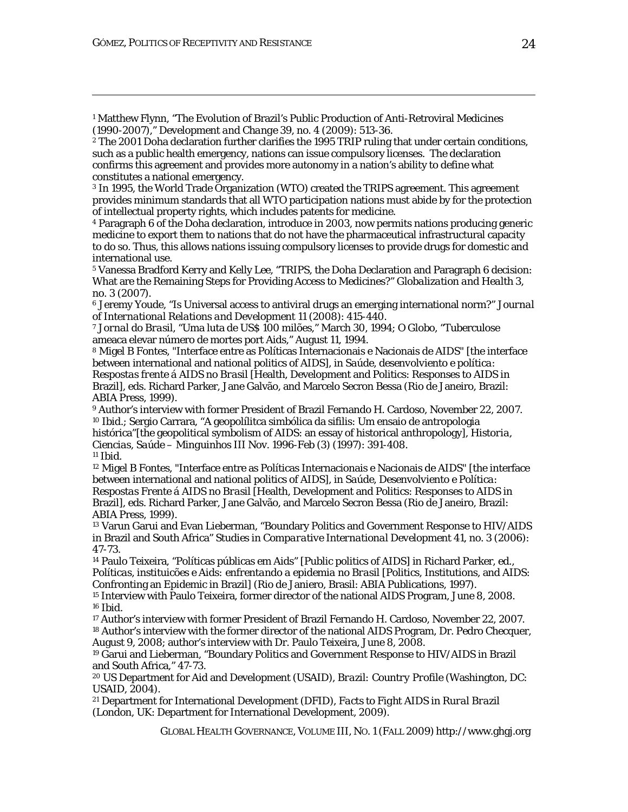<sup>1</sup> Matthew Flynn, "The Evolution of Brazil's Public Production of Anti-Retroviral Medicines (1990-2007)," *Development and Change* 39, no. 4 (2009): 513-36.

<sup>2</sup> The 2001 Doha declaration further clarifies the 1995 TRIP ruling that under certain conditions, such as a public health emergency, nations can issue compulsory licenses. The declaration confirms this agreement and provides more autonomy in a nation's ability to define what constitutes a national emergency.

<u> 1989 - Johann Stoff, amerikansk politiker (d. 1989)</u>

3 In 1995, the World Trade Organization (WTO) created the TRIPS agreement. This agreement provides minimum standards that all WTO participation nations must abide by for the protection of intellectual property rights, which includes patents for medicine.

4 Paragraph 6 of the Doha declaration, introduce in 2003, now permits nations producing generic medicine to export them to nations that do not have the pharmaceutical infrastructural capacity to do so. Thus, this allows nations issuing compulsory licenses to provide drugs for domestic and international use.

5 Vanessa Bradford Kerry and Kelly Lee, "TRIPS, the Doha Declaration and Paragraph 6 decision: What are the Remaining Steps for Providing Access to Medicines?" *Globalization and Health* 3, no. 3 (2007).

<sup>6</sup> Jeremy Youde, "Is Universal access to antiviral drugs an emerging international norm?" *Journal of International Relations and Development* 11 (2008): 415-440.

<sup>7</sup> *Jornal do Brasil*, "Uma luta de US\$ 100 milões," March 30, 1994; *O Globo*, "Tuberculose ameaca elevar número de mortes port Aids," August 11, 1994.

<sup>8</sup> Migel B Fontes, "Interface entre as Políticas Internacionais e Nacionais de AIDS" [the interface between international and national politics of AIDS], in *Saúde, desenvolviento e política: Respostas frente á AIDS no Brasil* [Health, Development and Politics: Responses to AIDS in Brazil], eds. Richard Parker, Jane Galvão, and Marcelo Secron Bessa (Rio de Janeiro, Brazil: ABIA Press, 1999).

9 Author's interview with former President of Brazil Fernando H. Cardoso, November 22, 2007. <sup>10</sup> *Ibid*.; Sergio Carrara, "A geopolílitca simbólica da sifilis: Um ensaio de antropologia histórica"[the geopolitical symbolism of AIDS: an essay of historical anthropology], *Historia, Ciencias, Saúde – Minguinhos* III Nov. 1996-Feb (3) (1997): 391-408. <sup>11</sup> *Ibid*.

<sup>12</sup> Migel B Fontes, "Interface entre as Políticas Internacionais e Nacionais de AIDS" [the interface between international and national politics of AIDS], in *Saúde, Desenvolviento e Política: Respostas Frente á AIDS no Brasil* [Health, Development and Politics: Responses to AIDS in Brazil], eds. Richard Parker, Jane Galvão, and Marcelo Secron Bessa (Rio de Janeiro, Brazil: ABIA Press, 1999).

<sup>13</sup> Varun Garui and Evan Lieberman, "Boundary Politics and Government Response to HIV/AIDS in Brazil and South Africa" *Studies in Comparative International Development* 41, no. 3 (2006): 47-73.

14 Paulo Teixeira, "Políticas públicas em Aids" [Public politics of AIDS] in Richard Parker, ed., *Políticas, instituicões e Aids: enfrentando a epidemia no Brasil* [Politics, Institutions, and AIDS: Confronting an Epidemic in Brazil] (Rio de Janiero, Brasil: ABIA Publications, 1997).

<sup>15</sup> Interview with Paulo Teixeira, former director of the national AIDS Program, June 8, 2008. <sup>16</sup> *Ibid*.

17 Author's interview with former President of Brazil Fernando H. Cardoso, November 22, 2007. 18 Author's interview with the former director of the national AIDS Program, Dr. Pedro Checquer, August 9, 2008; author's interview with Dr. Paulo Teixeira, June 8, 2008.

19 Garui and Lieberman, "Boundary Politics and Government Response to HIV/AIDS in Brazil and South Africa," 47-73.

<sup>20</sup> US Department for Aid and Development (USAID), *Brazil: Country Profile* (Washington, DC: USAID, 2004).

<sup>21</sup> Department for International Development (DFID), *Facts to Fight AIDS in Rural Brazil* (London, UK: Department for International Development, 2009).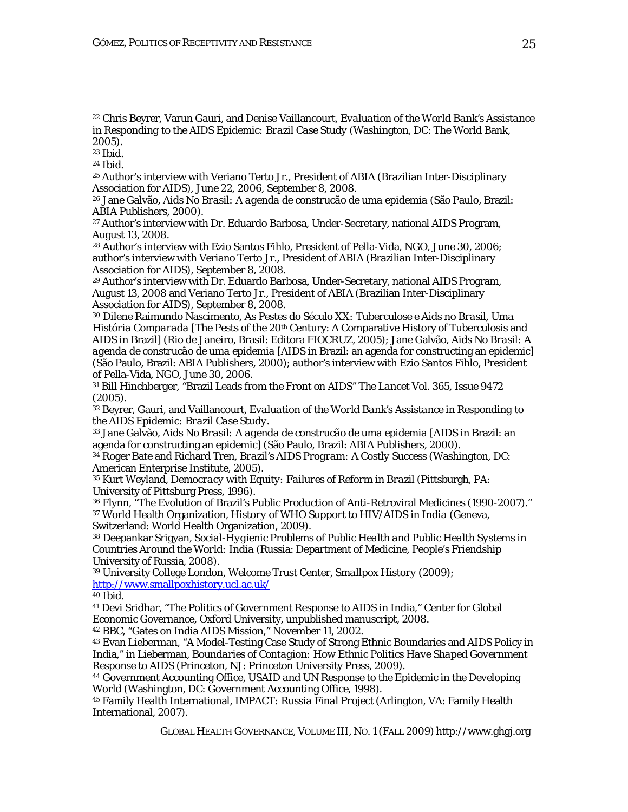<sup>22</sup> Chris Beyrer, Varun Gauri, and Denise Vaillancourt, *Evaluation of the World Bank's Assistance in Responding to the AIDS Epidemic: Brazil Case Study* (Washington, DC: The World Bank,  $2005$ ).

<u> 1989 - Johann Stoff, amerikansk politiker (d. 1989)</u>

<sup>23</sup> *Ibid*.

<sup>24</sup> *Ibid*.

25 Author's interview with Veriano Terto Jr., President of ABIA (Brazilian Inter-Disciplinary Association for AIDS), June 22, 2006, September 8, 2008.

<sup>26</sup> Jane Galvão, *Aids No Brasil: A agenda de construcão de uma epidemia* (São Paulo, Brazil: ABIA Publishers, 2000).

27 Author's interview with Dr. Eduardo Barbosa, Under-Secretary, national AIDS Program, August 13, 2008.

28 Author's interview with Ezio Santos Fihlo, President of Pella-Vida, NGO, June 30, 2006; author's interview with Veriano Terto Jr., President of ABIA (Brazilian Inter-Disciplinary Association for AIDS), September 8, 2008.

29 Author's interview with Dr. Eduardo Barbosa, Under-Secretary, national AIDS Program, August 13, 2008 and Veriano Terto Jr., President of ABIA (Brazilian Inter-Disciplinary Association for AIDS), September 8, 2008.

<sup>30</sup> Dilene Raimundo Nascimento, *As Pestes do Século XX: Tuberculose e Aids no Brasil, Uma História Comparada* [The Pests of the 20th Century: A Comparative History of Tuberculosis and AIDS in Brazil] (Rio de Janeiro, Brasil: Editora FIOCRUZ, 2005); Jane Galvão, *Aids No Brasil: A agenda de construcão de uma epidemia* [AIDS in Brazil: an agenda for constructing an epidemic] (São Paulo, Brazil: ABIA Publishers, 2000); author's interview with Ezio Santos Fihlo, President of Pella-Vida, NGO, June 30, 2006.

31 Bill Hinchberger, "Brazil Leads from the Front on AIDS" *The Lancet* Vol. 365, Issue 9472 (2005).

32 Beyrer, Gauri, and Vaillancourt, *Evaluation of the World Bank's Assistance in Responding to the AIDS Epidemic: Brazil Case Study*.

33 Jane Galvão, *Aids No Brasil: A agenda de construcão de uma epidemia* [AIDS in Brazil: an agenda for constructing an epidemic] (São Paulo, Brazil: ABIA Publishers, 2000).

34 Roger Bate and Richard Tren, *Brazil's AIDS Program: A Costly Success* (Washington, DC: American Enterprise Institute, 2005).

<sup>35</sup> Kurt Weyland, *Democracy with Equity: Failures of Reform in Brazil* (Pittsburgh, PA: University of Pittsburg Press, 1996).

<sup>36</sup> Flynn, "The Evolution of Brazil's Public Production of Anti-Retroviral Medicines (1990-2007)." <sup>37</sup> World Health Organization, *History of WHO Support to HIV/AIDS in India* (Geneva, Switzerland: World Health Organization, 2009).

<sup>38</sup> Deepankar Srigyan, *Social-Hygienic Problems of Public Health and Public Health Systems in Countries Around the World: India* (Russia: Department of Medicine, People's Friendship University of Russia, 2008).

<sup>39</sup> University College London, Welcome Trust Center, *Smallpox History* (2009); http://www.smallpoxhistory.ucl.ac.uk/

<sup>40</sup> *Ibid*.

<sup>41</sup> Devi Sridhar, "The Politics of Government Response to AIDS in India," Center for Global Economic Governance, Oxford University, unpublished manuscript, 2008.

<sup>42</sup> BBC, "Gates on India AIDS Mission," November 11, 2002.

<sup>43</sup> Evan Lieberman, "A Model-Testing Case Study of Strong Ethnic Boundaries and AIDS Policy in India," in Lieberman, *Boundaries of Contagion: How Ethnic Politics Have Shaped Government Response to AIDS* (Princeton, NJ: Princeton University Press, 2009).

<sup>44</sup> Government Accounting Office, *USAID and UN Response to the Epidemic in the Developing World* (Washington, DC: Government Accounting Office, 1998).

<sup>45</sup> Family Health International, *IMPACT: Russia Final Project* (Arlington, VA: Family Health International, 2007).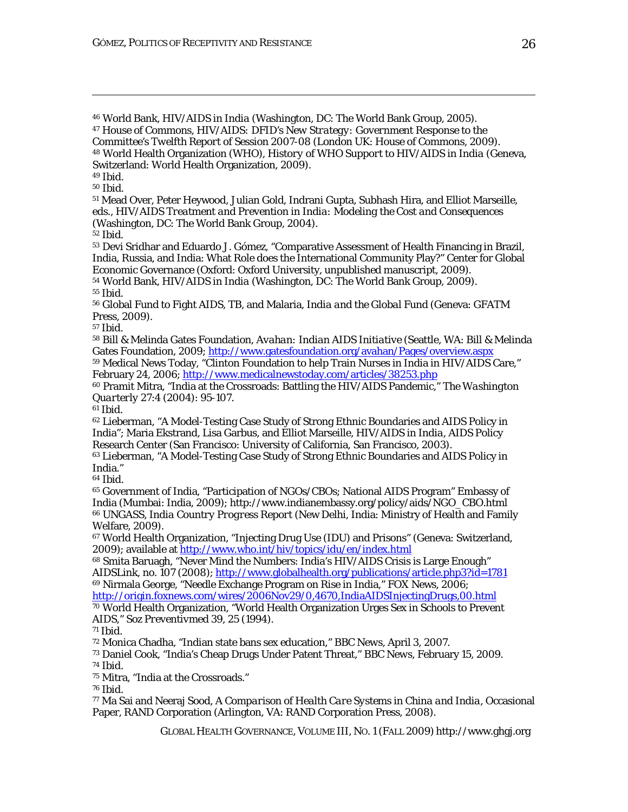<sup>46</sup> World Bank, *HIV/AIDS in India* (Washington, DC: The World Bank Group, 2005). <sup>47</sup> House of Commons, *HIV/AIDS: DFID's New Strategy: Government Response to the Committee's Twelfth Report of Session 2007-08* (London UK: House of Commons, 2009). <sup>48</sup> World Health Organization (WHO), *History of WHO Support to HIV/AIDS in India* (Geneva, Switzerland: World Health Organization, 2009).

<u> 1989 - Johann Stoff, amerikansk politiker (d. 1989)</u>

<sup>49</sup> *Ibid*.

<sup>50</sup> *Ibid*.

<sup>51</sup> Mead Over, Peter Heywood, Julian Gold, Indrani Gupta, Subhash Hira, and Elliot Marseille, eds., *HIV/AIDS Treatment and Prevention in India: Modeling the Cost and Consequences*  (Washington, DC: The World Bank Group, 2004).

<sup>52</sup> *Ibid*.

<sup>53</sup> Devi Sridhar and Eduardo J. Gómez, "Comparative Assessment of Health Financing in Brazil, India, Russia, and India: What Role does the International Community Play?" Center for Global Economic Governance (Oxford: Oxford University, unpublished manuscript, 2009).

<sup>54</sup> World Bank, *HIV/AIDS in India* (Washington, DC: The World Bank Group, 2009). <sup>55</sup> *Ibid*.

<sup>56</sup> Global Fund to Fight AIDS, TB, and Malaria, *India and the Global Fund* (Geneva: GFATM Press, 2009).

<sup>57</sup> *Ibid*.

<sup>58</sup> Bill & Melinda Gates Foundation, *Avahan: Indian AIDS Initiative* (Seattle, WA: Bill & Melinda Gates Foundation, 2009; http://www.gatesfoundation.org/avahan/Pages/overview.aspx <sup>59</sup> Medical News Today, "Clinton Foundation to help Train Nurses in India in HIV/AIDS Care,"

February 24, 2006; http://www.medicalnewstoday.com/articles/38253.php

<sup>60</sup> Pramit Mitra, "India at the Crossroads: Battling the HIV/AIDS Pandemic," *The Washington Quarterly* 27:4 (2004): 95-107.

<sup>61</sup> *Ibid*.

<sup>62</sup> Lieberman, "A Model-Testing Case Study of Strong Ethnic Boundaries and AIDS Policy in India"; Maria Ekstrand, Lisa Garbus, and Elliot Marseille, *HIV/AIDS in India*, AIDS Policy Research Center (San Francisco: University of California, San Francisco, 2003).

<sup>63</sup> Lieberman, "A Model-Testing Case Study of Strong Ethnic Boundaries and AIDS Policy in India."

<sup>64</sup> *Ibid*.

<sup>65</sup> Government of India, "Participation of NGOs/CBOs; National AIDS Program" Embassy of India (Mumbai: India, 2009); http://www.indianembassy.org/policy/aids/NGO\_CBO.html <sup>66</sup> UNGASS, *India Country Progress Report* (New Delhi, India: Ministry of Health and Family Welfare, 2009).

<sup>67</sup> World Health Organization, "Injecting Drug Use (IDU) and Prisons" (Geneva: Switzerland, 2009); available at http://www.who.int/hiv/topics/idu/en/index.html

<sup>68</sup> Smita Baruagh, "Never Mind the Numbers: India's HIV/AIDS Crisis is Large Enough" *AIDSLink*, no. 107 (2008); http://www.globalhealth.org/publications/article.php3?id=1781

<sup>69</sup> Nirmala George, "Needle Exchange Program on Rise in India," FOX News, 2006; http://origin.foxnews.com/wires/2006Nov29/0,4670,IndiaAIDSInjectingDrugs,00.html <sup>70</sup> World Health Organization, "World Health Organization Urges Sex in Schools to Prevent AIDS," *Soz Preventiv*med 39, 25 (1994).

<sup>71</sup> *Ibid*.

<sup>72</sup> Monica Chadha, "Indian state bans sex education," *BBC News*, April 3, 2007.

<sup>73</sup> Daniel Cook, "India's Cheap Drugs Under Patent Threat," *BBC News*, February 15, 2009.

<sup>74</sup> *Ibid*.

<sup>75</sup> Mitra, "India at the Crossroads."

<sup>76</sup> *Ibid*.

<sup>77</sup> Ma Sai and Neeraj Sood, *A Comparison of Health Care Systems in China and India*, Occasional Paper, RAND Corporation (Arlington, VA: RAND Corporation Press, 2008).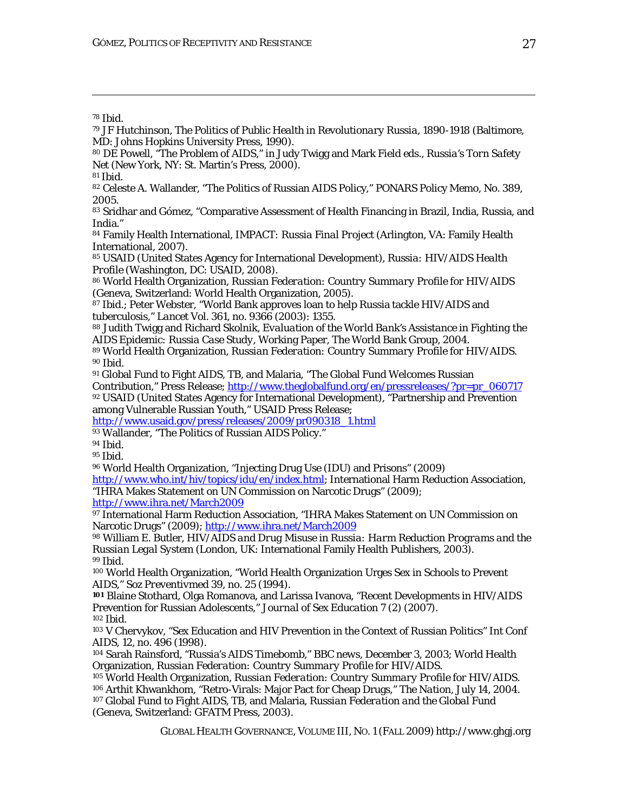MD: Johns Hopkins University Press, 1990).

*Net* (New York, NY: St. Martin's Press, 2000).

<sup>78</sup> *Ibid*.

*GLOBAL HEALTH GOVERNANCE*, VOLUME III, NO. 1 (FALL 2009) http://www.ghgj.org <sup>81</sup> *Ibid*. <sup>82</sup> Celeste A. Wallander, "The Politics of Russian AIDS Policy," *PONARS* Policy Memo, No. 389, 2005. <sup>83</sup> Sridhar and Gómez, "Comparative Assessment of Health Financing in Brazil, India, Russia, and India." <sup>84</sup> Family Health International, *IMPACT: Russia Final Project* (Arlington, VA: Family Health International, 2007). <sup>85</sup> USAID (United States Agency for International Development), *Russia: HIV/AIDS Health Profile* (Washington, DC: USAID, 2008). <sup>86</sup> World Health Organization, *Russian Federation: Country Summary Profile for HIV/AIDS* (Geneva, Switzerland: World Health Organization, 2005). 87 *Ibid.*; Peter Webster, "World Bank approves loan to help Russia tackle HIV/AIDS and tuberculosis," *Lancet* Vol. 361, no. 9366 (2003): 1355. <sup>88</sup> Judith Twigg and Richard Skolnik, *Evaluation of the World Bank's Assistance in Fighting the AIDS Epidemic: Russia Case Study*, Working Paper, The World Bank Group, 2004. 89 World Health Organization, *Russian Federation: Country Summary Profile for HIV/AIDS*. <sup>90</sup> *Ibid*. <sup>91</sup> Global Fund to Fight AIDS, TB, and Malaria, "The Global Fund Welcomes Russian Contribution," Press Release; http://www.theglobalfund.org/en/pressreleases/?pr=pr\_060717 92 USAID (United States Agency for International Development), "Partnership and Prevention among Vulnerable Russian Youth," USAID Press Release; http://www.usaid.gov/press/releases/2009/pr090318\_1.html 93 Wallander, "The Politics of Russian AIDS Policy." <sup>94</sup> *Ibid*. <sup>95</sup> *Ibid*. <sup>96</sup> World Health Organization, "Injecting Drug Use (IDU) and Prisons" (2009) http://www.who.int/hiv/topics/idu/en/index.html; International Harm Reduction Association, "IHRA Makes Statement on UN Commission on Narcotic Drugs" (2009); http://www.ihra.net/March2009 <sup>97</sup> International Harm Reduction Association, "IHRA Makes Statement on UN Commission on Narcotic Drugs" (2009); http://www.ihra.net/March2009 <sup>98</sup> William E. Butler, *HIV/AIDS and Drug Misuse in Russia: Harm Reduction Programs and the Russian Legal System* (London, UK: International Family Health Publishers, 2003). <sup>99</sup> *Ibid*. <sup>100</sup> World Health Organization, "World Health Organization Urges Sex in Schools to Prevent AIDS," *Soz Preventiv*med 39, no. 25 (1994). **<sup>101</sup>** Blaine Stothard, Olga Romanova, and Larissa Ivanova, "Recent Developments in HIV/AIDS Prevention for Russian Adolescents," *Journal of Sex Education* 7 (2) (2007). <sup>102</sup> *Ibid*. <sup>103</sup> V Chervykov, "Sex Education and HIV Prevention in the Context of Russian Politics" *Int Conf AIDS,* 12, no. 496 (1998). <sup>104</sup> Sarah Rainsford, "Russia's AIDS Timebomb," *BBC news*, December 3, 2003; World Health Organization, *Russian Federation: Country Summary Profile for HIV/AIDS*. <sup>105</sup> World Health Organization, *Russian Federation: Country Summary Profile for HIV/AIDS*. <sup>106</sup> Arthit Khwankhom, "Retro-Virals: Major Pact for Cheap Drugs," *The Nation*, July 14, 2004. <sup>107</sup> Global Fund to Fight AIDS, TB, and Malaria, *Russian Federation and the Global Fund* (Geneva, Switzerland: GFATM Press, 2003).

<u> 1989 - Johann Stoff, amerikansk politiker (d. 1989)</u>

<sup>79</sup> JF Hutchinson, *The Politics of Public Health in Revolutionary Russia, 1890-1918* (Baltimore,

<sup>80</sup> DE Powell, "The Problem of AIDS," in Judy Twigg and Mark Field eds., *Russia's Torn Safety*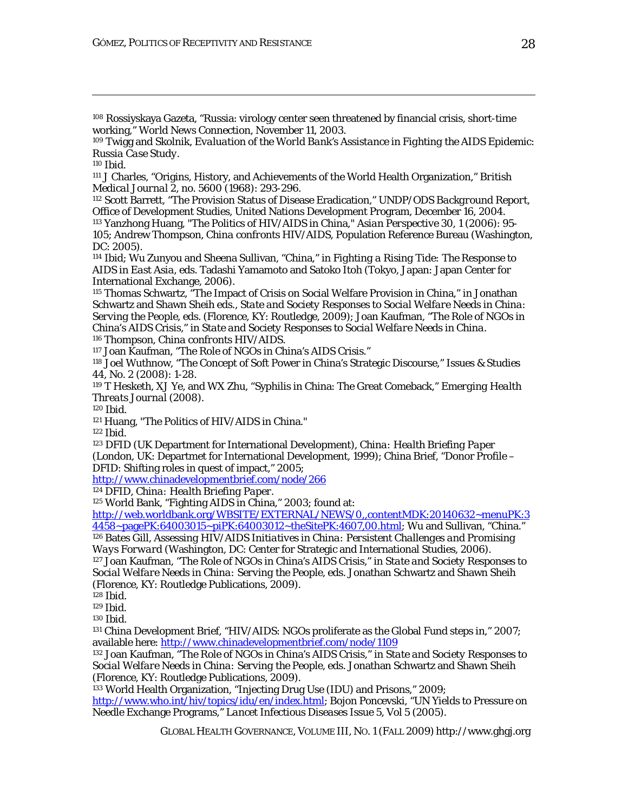<sup>108</sup> Rossiyskaya Gazeta, "Russia: virology center seen threatened by financial crisis, short-time working," *World News Connection*, November 11, 2003.

<sup>109</sup> Twigg and Skolnik, *Evaluation of the World Bank's Assistance in Fighting the AIDS Epidemic: Russia Case Study*.

<u> 1989 - Johann Stoff, amerikansk politiker (d. 1989)</u>

<sup>110</sup> *Ibid*.

<sup>111</sup> J Charles, "Origins, History, and Achievements of the World Health Organization," *British Medical Journal* 2, no. 5600 (1968): 293-296.

<sup>112</sup> Scott Barrett, "The Provision Status of Disease Eradication," *UNDP/ODS Background Report*, Office of Development Studies, United Nations Development Program, December 16, 2004. 113 Yanzhong Huang, "The Politics of HIV/AIDS in China," *Asian Perspective* 30, 1 (2006): 95- 105; Andrew Thompson, *China confronts HIV/AIDS*, Population Reference Bureau (Washington, DC: 2005).

<sup>114</sup> *Ibid*; Wu Zunyou and Sheena Sullivan, "China," in *Fighting a Rising Tide: The Response to AIDS in East Asia,* eds. Tadashi Yamamoto and Satoko Itoh (Tokyo, Japan: Japan Center for International Exchange, 2006).

<sup>115</sup> Thomas Schwartz, "The Impact of Crisis on Social Welfare Provision in China," in Jonathan Schwartz and Shawn Sheih eds., *State and Society Responses to Social Welfare Needs in China: Serving the People*, eds. (Florence, KY: Routledge, 2009); Joan Kaufman, "The Role of NGOs in China's AIDS Crisis," in *State and Society Responses to Social Welfare Needs in China*. 116 Thompson, *China confronts HIV/AIDS*.

117 Joan Kaufman, "The Role of NGOs in China's AIDS Crisis."

<sup>118</sup> Joel Wuthnow, "The Concept of Soft Power in China's Strategic Discourse," *Issues & Studies* 44, No. 2 (2008): 1-28.

<sup>119</sup> T Hesketh, XJ Ye, and WX Zhu, "Syphilis in China: The Great Comeback," *Emerging Health Threats Journal* (2008).

<sup>120</sup> *Ibid*.

121 Huang, "The Politics of HIV/AIDS in China."

<sup>122</sup> *Ibid*.

<sup>123</sup> DFID (UK Department for International Development), *China: Health Briefing Paper* (London, UK: Departmet for International Development, 1999); China Brief, "Donor Profile – DFID: Shifting roles in quest of impact," 2005;

http://www.chinadevelopmentbrief.com/node/266

124 DFID, *China: Health Briefing Paper*.

125 World Bank, "Fighting AIDS in China," 2003; found at:

http://web.worldbank.org/WBSITE/EXTERNAL/NEWS/0,,contentMDK:20140632~menuPK:3 4458~pagePK:64003015~piPK:64003012~theSitePK:4607,00.html; Wu and Sullivan, "China."

126 Bates Gill, *Assessing HIV/AIDS Initiatives in China: Persistent Challenges and Promising Ways Forward* (Washington, DC: Center for Strategic and International Studies, 2006).

127 Joan Kaufman, "The Role of NGOs in China's AIDS Crisis," in *State and Society Responses to Social Welfare Needs in China: Serving the People*, eds. Jonathan Schwartz and Shawn Sheih (Florence, KY: Routledge Publications, 2009).

<sup>128</sup> *Ibid*.

<sup>129</sup> *Ibid*.

<sup>130</sup> *Ibid*.

<sup>131</sup> China Development Brief, "HIV/AIDS: NGOs proliferate as the Global Fund steps in," 2007; available here: http://www.chinadevelopmentbrief.com/node/1109

132 Joan Kaufman, "The Role of NGOs in China's AIDS Crisis," in *State and Society Responses to Social Welfare Needs in China: Serving the People*, eds. Jonathan Schwartz and Shawn Sheih (Florence, KY: Routledge Publications, 2009).

<sup>133</sup> World Health Organization, "Injecting Drug Use (IDU) and Prisons," 2009;

http://www.who.int/hiv/topics/idu/en/index.html; Bojon Poncevski, "UN Yields to Pressure on Needle Exchange Programs," *Lancet Infectious Diseases* Issue 5, Vol 5 (2005).